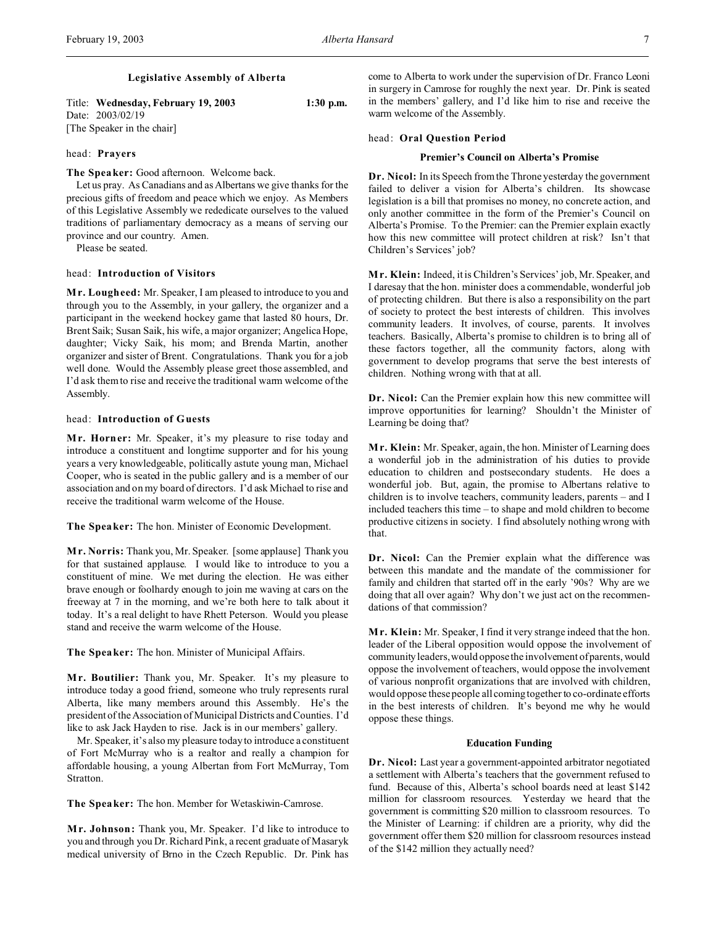# **Legislative Assembly of Alberta**

Title: **Wednesday, February 19, 2003 1:30 p.m.** Date: 2003/02/19 [The Speaker in the chair]

### head: **Prayers**

**The Speaker:** Good afternoon. Welcome back.

Let us pray. As Canadians and as Albertans we give thanks for the precious gifts of freedom and peace which we enjoy. As Members of this Legislative Assembly we rededicate ourselves to the valued traditions of parliamentary democracy as a means of serving our province and our country. Amen.

Please be seated.

#### head: **Introduction of Visitors**

**M r. Lougheed:** Mr. Speaker, I am pleased to introduce to you and through you to the Assembly, in your gallery, the organizer and a participant in the weekend hockey game that lasted 80 hours, Dr. Brent Saik; Susan Saik, his wife, a major organizer; Angelica Hope, daughter; Vicky Saik, his mom; and Brenda Martin, another organizer and sister of Brent. Congratulations. Thank you for a job well done. Would the Assembly please greet those assembled, and I'd ask them to rise and receive the traditional warm welcome of the Assembly.

### head: **Introduction of Guests**

**M r. Horner:** Mr. Speaker, it's my pleasure to rise today and introduce a constituent and longtime supporter and for his young years a very knowledgeable, politically astute young man, Michael Cooper, who is seated in the public gallery and is a member of our association and on my board of directors. I'd ask Michael to rise and receive the traditional warm welcome of the House.

**The Speaker:** The hon. Minister of Economic Development.

**M r. Norris:** Thank you, Mr. Speaker. [some applause] Thank you for that sustained applause. I would like to introduce to you a constituent of mine. We met during the election. He was either brave enough or foolhardy enough to join me waving at cars on the freeway at 7 in the morning, and we're both here to talk about it today. It's a real delight to have Rhett Peterson. Would you please stand and receive the warm welcome of the House.

**The Speaker:** The hon. Minister of Municipal Affairs.

**M r. Boutilier:** Thank you, Mr. Speaker. It's my pleasure to introduce today a good friend, someone who truly represents rural Alberta, like many members around this Assembly. He's the president of the Association of Municipal Districts and Counties. I'd like to ask Jack Hayden to rise. Jack is in our members' gallery.

Mr. Speaker, it's also my pleasure today to introduce a constituent of Fort McMurray who is a realtor and really a champion for affordable housing, a young Albertan from Fort McMurray, Tom Stratton.

**The Speaker:** The hon. Member for Wetaskiwin-Camrose.

**M r. Johnson:** Thank you, Mr. Speaker. I'd like to introduce to you and through you Dr. Richard Pink, a recent graduate of Masaryk medical university of Brno in the Czech Republic. Dr. Pink has come to Alberta to work under the supervision of Dr. Franco Leoni in surgery in Camrose for roughly the next year. Dr. Pink is seated in the members' gallery, and I'd like him to rise and receive the warm welcome of the Assembly.

### head: **Oral Question Period**

### **Premier's Council on Alberta's Promise**

**Dr. Nicol:** In its Speech from the Throne yesterday the government failed to deliver a vision for Alberta's children. Its showcase legislation is a bill that promises no money, no concrete action, and only another committee in the form of the Premier's Council on Alberta's Promise. To the Premier: can the Premier explain exactly how this new committee will protect children at risk? Isn't that Children's Services' job?

**M r. Klein:** Indeed, it is Children's Services' job, Mr. Speaker, and I daresay that the hon. minister does a commendable, wonderful job of protecting children. But there is also a responsibility on the part of society to protect the best interests of children. This involves community leaders. It involves, of course, parents. It involves teachers. Basically, Alberta's promise to children is to bring all of these factors together, all the community factors, along with government to develop programs that serve the best interests of children. Nothing wrong with that at all.

**Dr. Nicol:** Can the Premier explain how this new committee will improve opportunities for learning? Shouldn't the Minister of Learning be doing that?

**M r. Klein:** Mr. Speaker, again, the hon. Minister of Learning does a wonderful job in the administration of his duties to provide education to children and postsecondary students. He does a wonderful job. But, again, the promise to Albertans relative to children is to involve teachers, community leaders, parents – and I included teachers this time – to shape and mold children to become productive citizens in society. I find absolutely nothing wrong with that.

**Dr. Nicol:** Can the Premier explain what the difference was between this mandate and the mandate of the commissioner for family and children that started off in the early '90s? Why are we doing that all over again? Why don't we just act on the recommendations of that commission?

**M r. Klein:** Mr. Speaker, I find it very strange indeed that the hon. leader of the Liberal opposition would oppose the involvement of community leaders, would oppose the involvement of parents, would oppose the involvement of teachers, would oppose the involvement of various nonprofit organizations that are involved with children, would oppose these people all coming together to co-ordinate efforts in the best interests of children. It's beyond me why he would oppose these things.

#### **Education Funding**

**Dr. Nicol:** Last year a government-appointed arbitrator negotiated a settlement with Alberta's teachers that the government refused to fund. Because of this, Alberta's school boards need at least \$142 million for classroom resources. Yesterday we heard that the government is committing \$20 million to classroom resources. To the Minister of Learning: if children are a priority, why did the government offer them \$20 million for classroom resources instead of the \$142 million they actually need?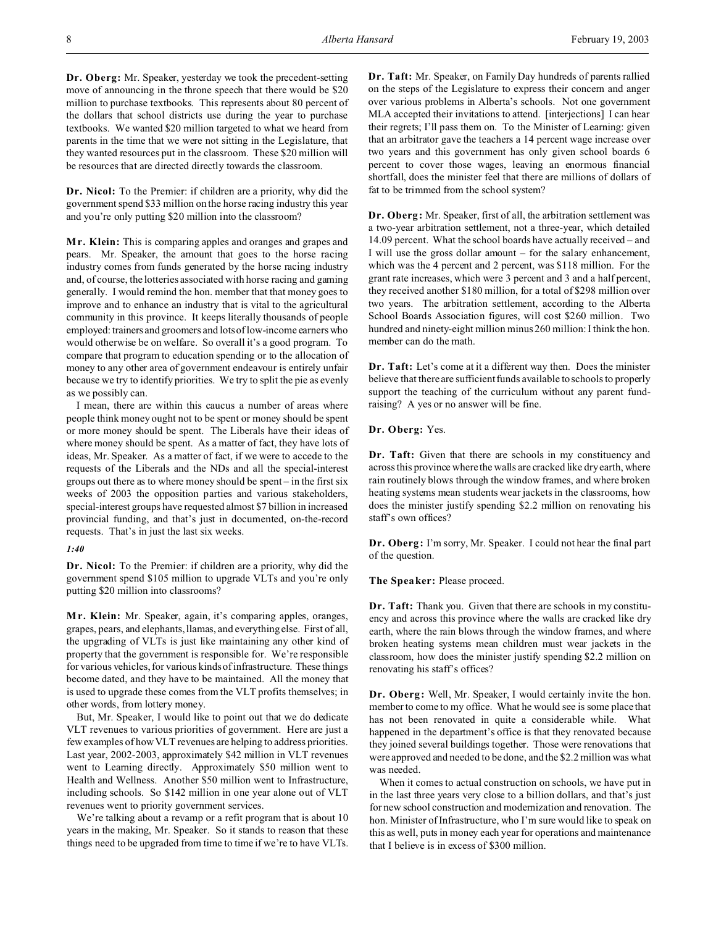**Dr. Oberg:** Mr. Speaker, yesterday we took the precedent-setting move of announcing in the throne speech that there would be \$20 million to purchase textbooks. This represents about 80 percent of the dollars that school districts use during the year to purchase textbooks. We wanted \$20 million targeted to what we heard from parents in the time that we were not sitting in the Legislature, that they wanted resources put in the classroom. These \$20 million will be resources that are directed directly towards the classroom.

**Dr. Nicol:** To the Premier: if children are a priority, why did the government spend \$33 million on the horse racing industry this year and you're only putting \$20 million into the classroom?

**Mr. Klein:** This is comparing apples and oranges and grapes and pears. Mr. Speaker, the amount that goes to the horse racing industry comes from funds generated by the horse racing industry and, of course, the lotteries associated with horse racing and gaming generally. I would remind the hon. member that that money goes to improve and to enhance an industry that is vital to the agricultural community in this province. It keeps literally thousands of people employed: trainers and groomers and lots of low-income earners who would otherwise be on welfare. So overall it's a good program. To compare that program to education spending or to the allocation of money to any other area of government endeavour is entirely unfair because we try to identify priorities. We try to split the pie as evenly as we possibly can.

I mean, there are within this caucus a number of areas where people think money ought not to be spent or money should be spent or more money should be spent. The Liberals have their ideas of where money should be spent. As a matter of fact, they have lots of ideas, Mr. Speaker. As a matter of fact, if we were to accede to the requests of the Liberals and the NDs and all the special-interest groups out there as to where money should be spent – in the first six weeks of 2003 the opposition parties and various stakeholders, special-interest groups have requested almost \$7 billion in increased provincial funding, and that's just in documented, on-the-record requests. That's in just the last six weeks.

#### *1:40*

**Dr. Nicol:** To the Premier: if children are a priority, why did the government spend \$105 million to upgrade VLTs and you're only putting \$20 million into classrooms?

**M r. Klein:** Mr. Speaker, again, it's comparing apples, oranges, grapes, pears, and elephants, llamas, and everything else. First of all, the upgrading of VLTs is just like maintaining any other kind of property that the government is responsible for. We're responsible for various vehicles, for various kinds of infrastructure. These things become dated, and they have to be maintained. All the money that is used to upgrade these comes from the VLT profits themselves; in other words, from lottery money.

But, Mr. Speaker, I would like to point out that we do dedicate VLT revenues to various priorities of government. Here are just a few examples of how VLT revenues are helping to address priorities. Last year, 2002-2003, approximately \$42 million in VLT revenues went to Learning directly. Approximately \$50 million went to Health and Wellness. Another \$50 million went to Infrastructure, including schools. So \$142 million in one year alone out of VLT revenues went to priority government services.

We're talking about a revamp or a refit program that is about 10 years in the making, Mr. Speaker. So it stands to reason that these things need to be upgraded from time to time if we're to have VLTs. **Dr. Taft:** Mr. Speaker, on Family Day hundreds of parents rallied on the steps of the Legislature to express their concern and anger over various problems in Alberta's schools. Not one government MLA accepted their invitations to attend. [interjections] I can hear their regrets; I'll pass them on. To the Minister of Learning: given that an arbitrator gave the teachers a 14 percent wage increase over two years and this government has only given school boards 6 percent to cover those wages, leaving an enormous financial shortfall, does the minister feel that there are millions of dollars of fat to be trimmed from the school system?

**Dr. Oberg:** Mr. Speaker, first of all, the arbitration settlement was a two-year arbitration settlement, not a three-year, which detailed 14.09 percent. What the school boards have actually received – and I will use the gross dollar amount – for the salary enhancement, which was the 4 percent and 2 percent, was \$118 million. For the grant rate increases, which were 3 percent and 3 and a half percent, they received another \$180 million, for a total of \$298 million over two years. The arbitration settlement, according to the Alberta School Boards Association figures, will cost \$260 million. Two hundred and ninety-eight million minus 260 million: I think the hon. member can do the math.

**Dr. Taft:** Let's come at it a different way then. Does the minister believe that there are sufficient funds available to schools to properly support the teaching of the curriculum without any parent fundraising? A yes or no answer will be fine.

## **Dr. Oberg:** Yes.

**Dr. Taft:** Given that there are schools in my constituency and across this province where the walls are cracked like dry earth, where rain routinely blows through the window frames, and where broken heating systems mean students wear jackets in the classrooms, how does the minister justify spending \$2.2 million on renovating his staff's own offices?

**Dr. Oberg:** I'm sorry, Mr. Speaker. I could not hear the final part of the question.

**The Speaker:** Please proceed.

**Dr. Taft:** Thank you. Given that there are schools in my constituency and across this province where the walls are cracked like dry earth, where the rain blows through the window frames, and where broken heating systems mean children must wear jackets in the classroom, how does the minister justify spending \$2.2 million on renovating his staff's offices?

**Dr. Oberg:** Well, Mr. Speaker, I would certainly invite the hon. member to come to my office. What he would see is some place that has not been renovated in quite a considerable while. What happened in the department's office is that they renovated because they joined several buildings together. Those were renovations that were approved and needed to be done, and the \$2.2 million was what was needed.

When it comes to actual construction on schools, we have put in in the last three years very close to a billion dollars, and that's just for new school construction and modernization and renovation. The hon. Minister of Infrastructure, who I'm sure would like to speak on this as well, puts in money each year for operations and maintenance that I believe is in excess of \$300 million.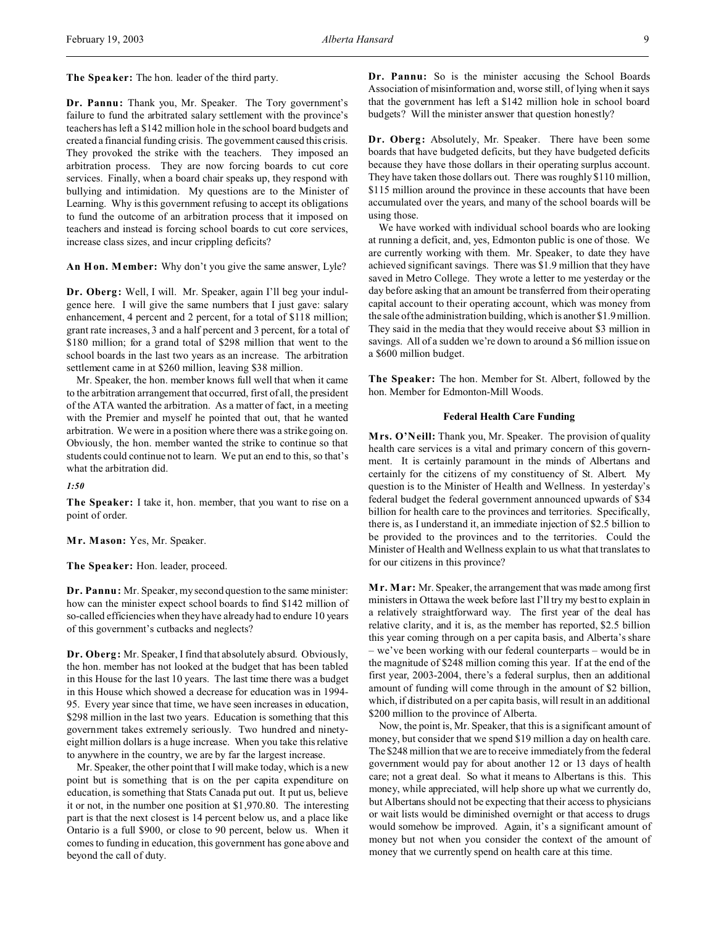**The Speaker:** The hon. leader of the third party.

**Dr. Pannu:** Thank you, Mr. Speaker. The Tory government's failure to fund the arbitrated salary settlement with the province's teachers has left a \$142 million hole in the school board budgets and created a financial funding crisis. The government caused this crisis. They provoked the strike with the teachers. They imposed an arbitration process. They are now forcing boards to cut core services. Finally, when a board chair speaks up, they respond with bullying and intimidation. My questions are to the Minister of Learning. Why is this government refusing to accept its obligations to fund the outcome of an arbitration process that it imposed on teachers and instead is forcing school boards to cut core services, increase class sizes, and incur crippling deficits?

**An Hon. Member:** Why don't you give the same answer, Lyle?

**Dr. Oberg:** Well, I will. Mr. Speaker, again I'll beg your indulgence here. I will give the same numbers that I just gave: salary enhancement, 4 percent and 2 percent, for a total of \$118 million; grant rate increases, 3 and a half percent and 3 percent, for a total of \$180 million; for a grand total of \$298 million that went to the school boards in the last two years as an increase. The arbitration settlement came in at \$260 million, leaving \$38 million.

Mr. Speaker, the hon. member knows full well that when it came to the arbitration arrangement that occurred, first of all, the president of the ATA wanted the arbitration. As a matter of fact, in a meeting with the Premier and myself he pointed that out, that he wanted arbitration. We were in a position where there was a strike going on. Obviously, the hon. member wanted the strike to continue so that students could continue not to learn. We put an end to this, so that's what the arbitration did.

*1:50*

**The Speaker:** I take it, hon. member, that you want to rise on a point of order.

**Mr. Mason:** Yes, Mr. Speaker.

**The Speaker:** Hon. leader, proceed.

**Dr. Pannu:** Mr. Speaker, my second question to the same minister: how can the minister expect school boards to find \$142 million of so-called efficiencies when they have already had to endure 10 years of this government's cutbacks and neglects?

**Dr. Oberg:** Mr. Speaker, I find that absolutely absurd. Obviously, the hon. member has not looked at the budget that has been tabled in this House for the last 10 years. The last time there was a budget in this House which showed a decrease for education was in 1994- 95. Every year since that time, we have seen increases in education, \$298 million in the last two years. Education is something that this government takes extremely seriously. Two hundred and ninetyeight million dollars is a huge increase. When you take this relative to anywhere in the country, we are by far the largest increase.

Mr. Speaker, the other point that I will make today, which is a new point but is something that is on the per capita expenditure on education, is something that Stats Canada put out. It put us, believe it or not, in the number one position at \$1,970.80. The interesting part is that the next closest is 14 percent below us, and a place like Ontario is a full \$900, or close to 90 percent, below us. When it comes to funding in education, this government has gone above and beyond the call of duty.

**Dr. Pannu:** So is the minister accusing the School Boards Association of misinformation and, worse still, of lying when it says that the government has left a \$142 million hole in school board budgets? Will the minister answer that question honestly?

**Dr. Oberg:** Absolutely, Mr. Speaker. There have been some boards that have budgeted deficits, but they have budgeted deficits because they have those dollars in their operating surplus account. They have taken those dollars out. There was roughly \$110 million, \$115 million around the province in these accounts that have been accumulated over the years, and many of the school boards will be using those.

We have worked with individual school boards who are looking at running a deficit, and, yes, Edmonton public is one of those. We are currently working with them. Mr. Speaker, to date they have achieved significant savings. There was \$1.9 million that they have saved in Metro College. They wrote a letter to me yesterday or the day before asking that an amount be transferred from their operating capital account to their operating account, which was money from the sale of the administration building, which is another \$1.9 million. They said in the media that they would receive about \$3 million in savings. All of a sudden we're down to around a \$6 million issue on a \$600 million budget.

**The Speaker:** The hon. Member for St. Albert, followed by the hon. Member for Edmonton-Mill Woods.

# **Federal Health Care Funding**

**Mrs. O'Neill:** Thank you, Mr. Speaker. The provision of quality health care services is a vital and primary concern of this government. It is certainly paramount in the minds of Albertans and certainly for the citizens of my constituency of St. Albert. My question is to the Minister of Health and Wellness. In yesterday's federal budget the federal government announced upwards of \$34 billion for health care to the provinces and territories. Specifically, there is, as I understand it, an immediate injection of \$2.5 billion to be provided to the provinces and to the territories. Could the Minister of Health and Wellness explain to us what that translates to for our citizens in this province?

**M r. Mar:** Mr. Speaker, the arrangement that was made among first ministers in Ottawa the week before last I'll try my best to explain in a relatively straightforward way. The first year of the deal has relative clarity, and it is, as the member has reported, \$2.5 billion this year coming through on a per capita basis, and Alberta's share – we've been working with our federal counterparts – would be in the magnitude of \$248 million coming this year. If at the end of the first year, 2003-2004, there's a federal surplus, then an additional amount of funding will come through in the amount of \$2 billion, which, if distributed on a per capita basis, will result in an additional \$200 million to the province of Alberta.

Now, the point is, Mr. Speaker, that this is a significant amount of money, but consider that we spend \$19 million a day on health care. The \$248 million that we are to receive immediately from the federal government would pay for about another 12 or 13 days of health care; not a great deal. So what it means to Albertans is this. This money, while appreciated, will help shore up what we currently do, but Albertans should not be expecting that their access to physicians or wait lists would be diminished overnight or that access to drugs would somehow be improved. Again, it's a significant amount of money but not when you consider the context of the amount of money that we currently spend on health care at this time.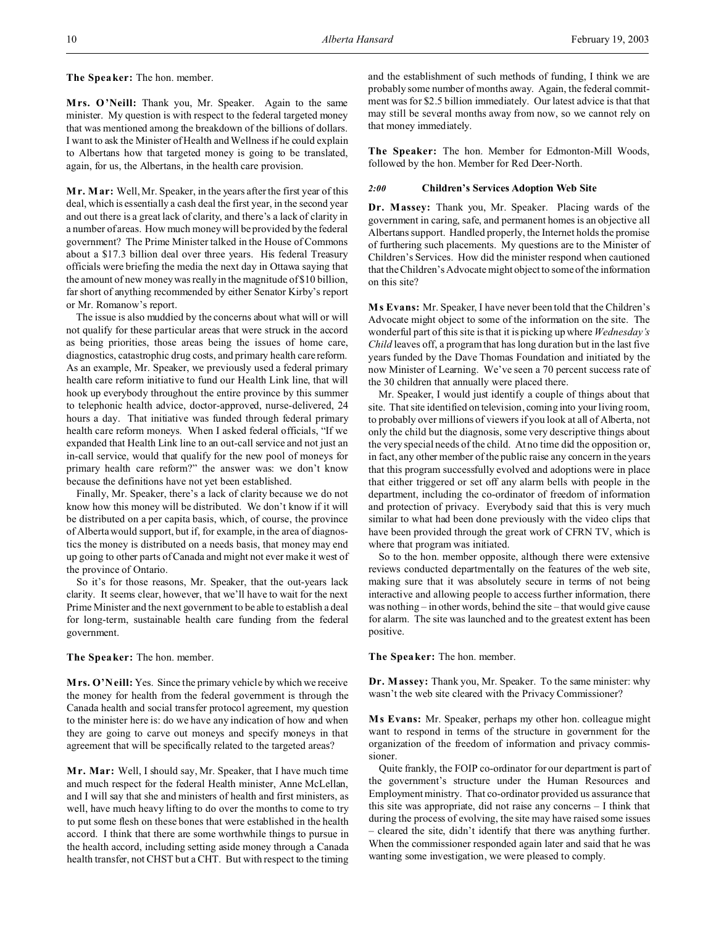**The Speaker:** The hon. member.

**Mrs. O'Neill:** Thank you, Mr. Speaker. Again to the same minister. My question is with respect to the federal targeted money that was mentioned among the breakdown of the billions of dollars. I want to ask the Minister of Health and Wellness if he could explain to Albertans how that targeted money is going to be translated, again, for us, the Albertans, in the health care provision.

**M r. Mar:** Well, Mr. Speaker, in the years after the first year of this deal, which is essentially a cash deal the first year, in the second year and out there is a great lack of clarity, and there's a lack of clarity in a number of areas. How much money will be provided by the federal government? The Prime Minister talked in the House of Commons about a \$17.3 billion deal over three years. His federal Treasury officials were briefing the media the next day in Ottawa saying that the amount of new money was really in the magnitude of \$10 billion, far short of anything recommended by either Senator Kirby's report or Mr. Romanow's report.

The issue is also muddied by the concerns about what will or will not qualify for these particular areas that were struck in the accord as being priorities, those areas being the issues of home care, diagnostics, catastrophic drug costs, and primary health care reform. As an example, Mr. Speaker, we previously used a federal primary health care reform initiative to fund our Health Link line, that will hook up everybody throughout the entire province by this summer to telephonic health advice, doctor-approved, nurse-delivered, 24 hours a day. That initiative was funded through federal primary health care reform moneys. When I asked federal officials, "If we expanded that Health Link line to an out-call service and not just an in-call service, would that qualify for the new pool of moneys for primary health care reform?" the answer was: we don't know because the definitions have not yet been established.

Finally, Mr. Speaker, there's a lack of clarity because we do not know how this money will be distributed. We don't know if it will be distributed on a per capita basis, which, of course, the province of Alberta would support, but if, for example, in the area of diagnostics the money is distributed on a needs basis, that money may end up going to other parts of Canada and might not ever make it west of the province of Ontario.

So it's for those reasons, Mr. Speaker, that the out-years lack clarity. It seems clear, however, that we'll have to wait for the next Prime Minister and the next government to be able to establish a deal for long-term, sustainable health care funding from the federal government.

**The Speaker:** The hon. member.

**Mrs. O'Neill:** Yes. Since the primary vehicle by which we receive the money for health from the federal government is through the Canada health and social transfer protocol agreement, my question to the minister here is: do we have any indication of how and when they are going to carve out moneys and specify moneys in that agreement that will be specifically related to the targeted areas?

**Mr. Mar:** Well, I should say, Mr. Speaker, that I have much time and much respect for the federal Health minister, Anne McLellan, and I will say that she and ministers of health and first ministers, as well, have much heavy lifting to do over the months to come to try to put some flesh on these bones that were established in the health accord. I think that there are some worthwhile things to pursue in the health accord, including setting aside money through a Canada health transfer, not CHST but a CHT. But with respect to the timing and the establishment of such methods of funding, I think we are probably some number of months away. Again, the federal commitment was for \$2.5 billion immediately. Our latest advice is that that may still be several months away from now, so we cannot rely on that money immediately.

**The Speaker:** The hon. Member for Edmonton-Mill Woods, followed by the hon. Member for Red Deer-North.

### *2:00* **Children's Services Adoption Web Site**

**Dr. Massey:** Thank you, Mr. Speaker. Placing wards of the government in caring, safe, and permanent homes is an objective all Albertans support. Handled properly, the Internet holds the promise of furthering such placements. My questions are to the Minister of Children's Services. How did the minister respond when cautioned that the Children's Advocate might object to some of the information on this site?

**M s Evans:** Mr. Speaker, I have never been told that the Children's Advocate might object to some of the information on the site. The wonderful part of this site is that it is picking up where *Wednesday's Child* leaves off, a program that has long duration but in the last five years funded by the Dave Thomas Foundation and initiated by the now Minister of Learning. We've seen a 70 percent success rate of the 30 children that annually were placed there.

Mr. Speaker, I would just identify a couple of things about that site. That site identified on television, coming into your living room, to probably over millions of viewers if you look at all of Alberta, not only the child but the diagnosis, some very descriptive things about the very special needs of the child. At no time did the opposition or, in fact, any other member of the public raise any concern in the years that this program successfully evolved and adoptions were in place that either triggered or set off any alarm bells with people in the department, including the co-ordinator of freedom of information and protection of privacy. Everybody said that this is very much similar to what had been done previously with the video clips that have been provided through the great work of CFRN TV, which is where that program was initiated.

So to the hon. member opposite, although there were extensive reviews conducted departmentally on the features of the web site, making sure that it was absolutely secure in terms of not being interactive and allowing people to access further information, there was nothing – in other words, behind the site – that would give cause for alarm. The site was launched and to the greatest extent has been positive.

**The Speaker:** The hon. member.

**Dr. Massey:** Thank you, Mr. Speaker. To the same minister: why wasn't the web site cleared with the Privacy Commissioner?

**M s Evans:** Mr. Speaker, perhaps my other hon. colleague might want to respond in terms of the structure in government for the organization of the freedom of information and privacy commissioner.

Quite frankly, the FOIP co-ordinator for our department is part of the government's structure under the Human Resources and Employment ministry. That co-ordinator provided us assurance that this site was appropriate, did not raise any concerns – I think that during the process of evolving, the site may have raised some issues – cleared the site, didn't identify that there was anything further. When the commissioner responded again later and said that he was wanting some investigation, we were pleased to comply.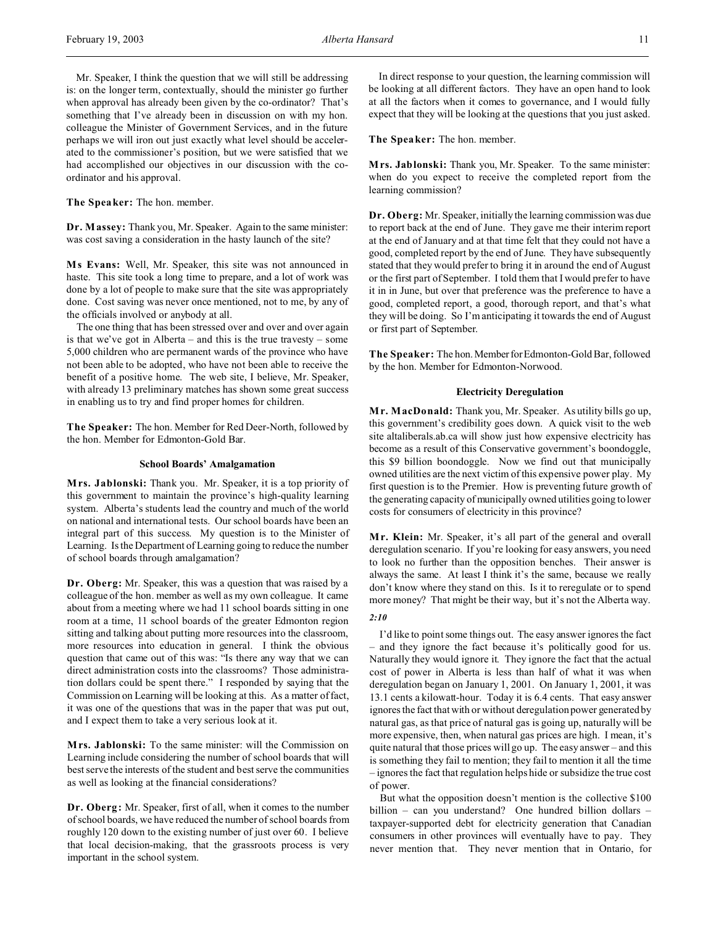Mr. Speaker, I think the question that we will still be addressing is: on the longer term, contextually, should the minister go further when approval has already been given by the co-ordinator? That's something that I've already been in discussion on with my hon. colleague the Minister of Government Services, and in the future perhaps we will iron out just exactly what level should be accelerated to the commissioner's position, but we were satisfied that we had accomplished our objectives in our discussion with the coordinator and his approval.

**The Speaker:** The hon. member.

**Dr. Massey:** Thank you, Mr. Speaker. Again to the same minister: was cost saving a consideration in the hasty launch of the site?

**M s Evans:** Well, Mr. Speaker, this site was not announced in haste. This site took a long time to prepare, and a lot of work was done by a lot of people to make sure that the site was appropriately done. Cost saving was never once mentioned, not to me, by any of the officials involved or anybody at all.

The one thing that has been stressed over and over and over again is that we've got in Alberta – and this is the true travesty – some 5,000 children who are permanent wards of the province who have not been able to be adopted, who have not been able to receive the benefit of a positive home. The web site, I believe, Mr. Speaker, with already 13 preliminary matches has shown some great success in enabling us to try and find proper homes for children.

**The Speaker:** The hon. Member for Red Deer-North, followed by the hon. Member for Edmonton-Gold Bar.

# **School Boards' Amalgamation**

**Mrs. Jablonski:** Thank you. Mr. Speaker, it is a top priority of this government to maintain the province's high-quality learning system. Alberta's students lead the country and much of the world on national and international tests. Our school boards have been an integral part of this success. My question is to the Minister of Learning. Is the Department of Learning going to reduce the number of school boards through amalgamation?

**Dr. Oberg:** Mr. Speaker, this was a question that was raised by a colleague of the hon. member as well as my own colleague. It came about from a meeting where we had 11 school boards sitting in one room at a time, 11 school boards of the greater Edmonton region sitting and talking about putting more resources into the classroom, more resources into education in general. I think the obvious question that came out of this was: "Is there any way that we can direct administration costs into the classrooms? Those administration dollars could be spent there." I responded by saying that the Commission on Learning will be looking at this. As a matter of fact, it was one of the questions that was in the paper that was put out, and I expect them to take a very serious look at it.

**Mrs. Jablonski:** To the same minister: will the Commission on Learning include considering the number of school boards that will best serve the interests of the student and best serve the communities as well as looking at the financial considerations?

**Dr. Oberg:** Mr. Speaker, first of all, when it comes to the number of school boards, we have reduced the number of school boards from roughly 120 down to the existing number of just over 60. I believe that local decision-making, that the grassroots process is very important in the school system.

In direct response to your question, the learning commission will be looking at all different factors. They have an open hand to look at all the factors when it comes to governance, and I would fully expect that they will be looking at the questions that you just asked.

**The Speaker:** The hon. member.

**Mrs. Jablonski:** Thank you, Mr. Speaker. To the same minister: when do you expect to receive the completed report from the learning commission?

**Dr. Oberg:** Mr. Speaker, initially the learning commission was due to report back at the end of June. They gave me their interim report at the end of January and at that time felt that they could not have a good, completed report by the end of June. They have subsequently stated that they would prefer to bring it in around the end of August or the first part of September. I told them that I would prefer to have it in in June, but over that preference was the preference to have a good, completed report, a good, thorough report, and that's what they will be doing. So I'm anticipating it towards the end of August or first part of September.

**The Speaker:** The hon.MemberforEdmonton-Gold Bar, followed by the hon. Member for Edmonton-Norwood.

# **Electricity Deregulation**

**M r. MacDonald:** Thank you, Mr. Speaker. As utility bills go up, this government's credibility goes down. A quick visit to the web site altaliberals.ab.ca will show just how expensive electricity has become as a result of this Conservative government's boondoggle, this \$9 billion boondoggle. Now we find out that municipally owned utilities are the next victim of this expensive power play. My first question is to the Premier. How is preventing future growth of the generating capacity of municipally owned utilities going to lower costs for consumers of electricity in this province?

**M r. Klein:** Mr. Speaker, it's all part of the general and overall deregulation scenario. If you're looking for easy answers, you need to look no further than the opposition benches. Their answer is always the same. At least I think it's the same, because we really don't know where they stand on this. Is it to reregulate or to spend more money? That might be their way, but it's not the Alberta way. *2:10*

I'd like to point some things out. The easy answer ignores the fact – and they ignore the fact because it's politically good for us. Naturally they would ignore it. They ignore the fact that the actual cost of power in Alberta is less than half of what it was when deregulation began on January 1, 2001. On January 1, 2001, it was 13.1 cents a kilowatt-hour. Today it is 6.4 cents. That easy answer ignores the fact that with or without deregulation power generated by natural gas, as that price of natural gas is going up, naturally will be more expensive, then, when natural gas prices are high. I mean, it's quite natural that those prices will go up. The easy answer – and this is something they fail to mention; they fail to mention it all the time – ignores the fact that regulation helps hide or subsidize the true cost of power.

But what the opposition doesn't mention is the collective \$100 billion – can you understand? One hundred billion dollars – taxpayer-supported debt for electricity generation that Canadian consumers in other provinces will eventually have to pay. They never mention that. They never mention that in Ontario, for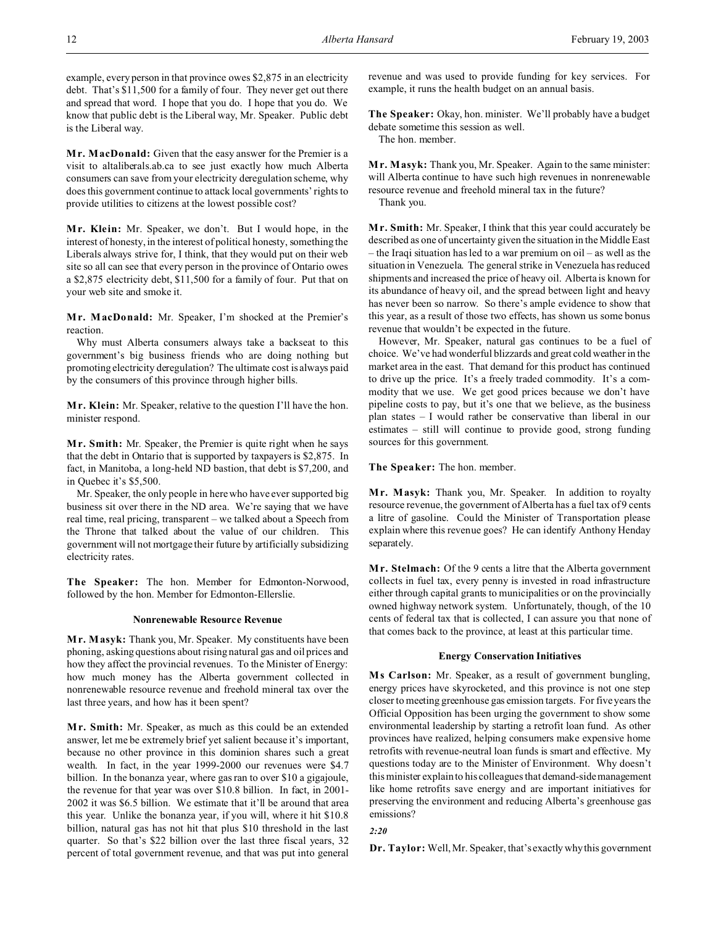example, every person in that province owes \$2,875 in an electricity debt. That's \$11,500 for a family of four. They never get out there and spread that word. I hope that you do. I hope that you do. We know that public debt is the Liberal way, Mr. Speaker. Public debt is the Liberal way.

**M r. MacDonald:** Given that the easy answer for the Premier is a visit to altaliberals.ab.ca to see just exactly how much Alberta consumers can save from your electricity deregulation scheme, why does this government continue to attack local governments' rights to provide utilities to citizens at the lowest possible cost?

**M r. Klein:** Mr. Speaker, we don't. But I would hope, in the interest of honesty, in the interest of political honesty, something the Liberals always strive for, I think, that they would put on their web site so all can see that every person in the province of Ontario owes a \$2,875 electricity debt, \$11,500 for a family of four. Put that on your web site and smoke it.

**M r. MacDonald:** Mr. Speaker, I'm shocked at the Premier's reaction.

Why must Alberta consumers always take a backseat to this government's big business friends who are doing nothing but promoting electricity deregulation? The ultimate cost is always paid by the consumers of this province through higher bills.

**M r. Klein:** Mr. Speaker, relative to the question I'll have the hon. minister respond.

**M r. Smith:** Mr. Speaker, the Premier is quite right when he says that the debt in Ontario that is supported by taxpayers is \$2,875. In fact, in Manitoba, a long-held ND bastion, that debt is \$7,200, and in Quebec it's \$5,500.

Mr. Speaker, the only people in here who have ever supported big business sit over there in the ND area. We're saying that we have real time, real pricing, transparent – we talked about a Speech from the Throne that talked about the value of our children. This government will not mortgage their future by artificially subsidizing electricity rates.

**The Speaker:** The hon. Member for Edmonton-Norwood, followed by the hon. Member for Edmonton-Ellerslie.

### **Nonrenewable Resource Revenue**

**M r. Masyk:** Thank you, Mr. Speaker. My constituents have been phoning, asking questions about rising natural gas and oil prices and how they affect the provincial revenues. To the Minister of Energy: how much money has the Alberta government collected in nonrenewable resource revenue and freehold mineral tax over the last three years, and how has it been spent?

**M r. Smith:** Mr. Speaker, as much as this could be an extended answer, let me be extremely brief yet salient because it's important, because no other province in this dominion shares such a great wealth. In fact, in the year 1999-2000 our revenues were \$4.7 billion. In the bonanza year, where gas ran to over \$10 a gigajoule, the revenue for that year was over \$10.8 billion. In fact, in 2001- 2002 it was \$6.5 billion. We estimate that it'll be around that area this year. Unlike the bonanza year, if you will, where it hit \$10.8 billion, natural gas has not hit that plus \$10 threshold in the last quarter. So that's \$22 billion over the last three fiscal years, 32 percent of total government revenue, and that was put into general

revenue and was used to provide funding for key services. For example, it runs the health budget on an annual basis.

**The Speaker:** Okay, hon. minister. We'll probably have a budget debate sometime this session as well. The hon. member.

**M r. Masyk:** Thank you, Mr. Speaker. Again to the same minister: will Alberta continue to have such high revenues in nonrenewable resource revenue and freehold mineral tax in the future? Thank you.

**M r. Smith:** Mr. Speaker, I think that this year could accurately be described as one of uncertainty given the situation in the Middle East – the Iraqi situation has led to a war premium on oil – as well as the situation in Venezuela. The general strike in Venezuela has reduced shipments and increased the price of heavy oil. Alberta is known for its abundance of heavy oil, and the spread between light and heavy has never been so narrow. So there's ample evidence to show that this year, as a result of those two effects, has shown us some bonus revenue that wouldn't be expected in the future.

However, Mr. Speaker, natural gas continues to be a fuel of choice. We've had wonderful blizzards and great cold weather in the market area in the east. That demand for this product has continued to drive up the price. It's a freely traded commodity. It's a commodity that we use. We get good prices because we don't have pipeline costs to pay, but it's one that we believe, as the business plan states – I would rather be conservative than liberal in our estimates – still will continue to provide good, strong funding sources for this government.

**The Speaker:** The hon. member.

**M r. Masyk:** Thank you, Mr. Speaker. In addition to royalty resource revenue, the government of Alberta has a fuel tax of 9 cents a litre of gasoline. Could the Minister of Transportation please explain where this revenue goes? He can identify Anthony Henday separately.

**Mr. Stelmach:** Of the 9 cents a litre that the Alberta government collects in fuel tax, every penny is invested in road infrastructure either through capital grants to municipalities or on the provincially owned highway network system. Unfortunately, though, of the 10 cents of federal tax that is collected, I can assure you that none of that comes back to the province, at least at this particular time.

### **Energy Conservation Initiatives**

**M s Carlson:** Mr. Speaker, as a result of government bungling, energy prices have skyrocketed, and this province is not one step closer to meeting greenhouse gas emission targets. For five years the Official Opposition has been urging the government to show some environmental leadership by starting a retrofit loan fund. As other provinces have realized, helping consumers make expensive home retrofits with revenue-neutral loan funds is smart and effective. My questions today are to the Minister of Environment. Why doesn't this minister explain to his colleagues that demand-side management like home retrofits save energy and are important initiatives for preserving the environment and reducing Alberta's greenhouse gas emissions?

*2:20*

**Dr. Taylor:** Well, Mr. Speaker, that's exactly why this government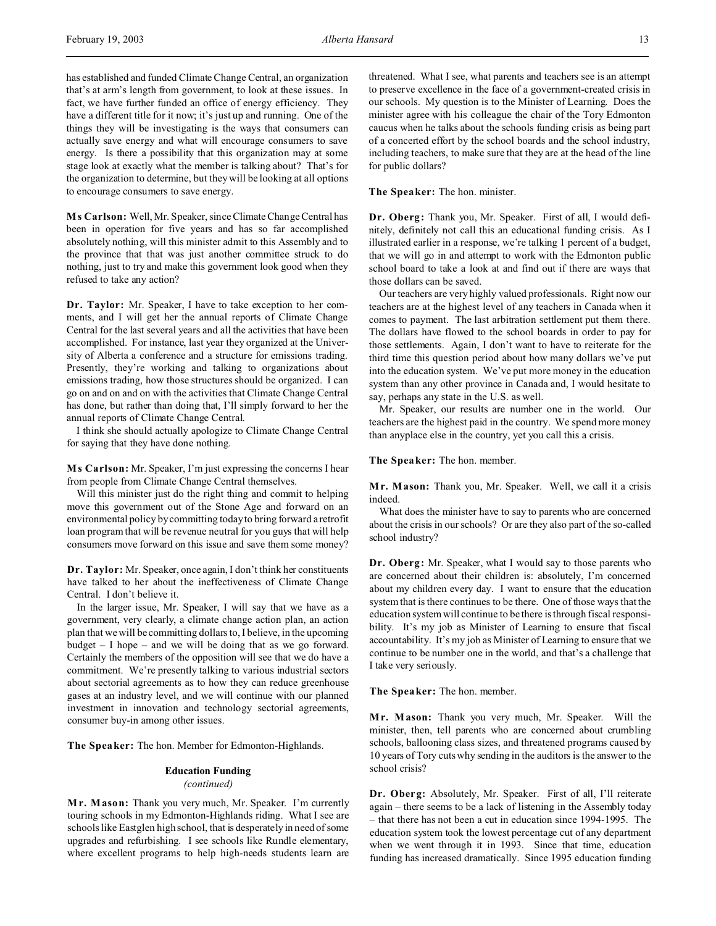has established and funded Climate Change Central, an organization that's at arm's length from government, to look at these issues. In fact, we have further funded an office of energy efficiency. They have a different title for it now; it's just up and running. One of the things they will be investigating is the ways that consumers can actually save energy and what will encourage consumers to save energy. Is there a possibility that this organization may at some stage look at exactly what the member is talking about? That's for the organization to determine, but they will be looking at all options to encourage consumers to save energy.

**M s Carlson:** Well, Mr. Speaker, since Climate Change Central has been in operation for five years and has so far accomplished absolutely nothing, will this minister admit to this Assembly and to the province that that was just another committee struck to do nothing, just to try and make this government look good when they refused to take any action?

**Dr. Taylor:** Mr. Speaker, I have to take exception to her comments, and I will get her the annual reports of Climate Change Central for the last several years and all the activities that have been accomplished. For instance, last year they organized at the University of Alberta a conference and a structure for emissions trading. Presently, they're working and talking to organizations about emissions trading, how those structures should be organized. I can go on and on and on with the activities that Climate Change Central has done, but rather than doing that, I'll simply forward to her the annual reports of Climate Change Central.

I think she should actually apologize to Climate Change Central for saying that they have done nothing.

**M s Carlson:** Mr. Speaker, I'm just expressing the concerns I hear from people from Climate Change Central themselves.

Will this minister just do the right thing and commit to helping move this government out of the Stone Age and forward on an environmental policy by committing today to bring forward a retrofit loan program that will be revenue neutral for you guys that will help consumers move forward on this issue and save them some money?

**Dr. Taylor:** Mr. Speaker, once again, I don't think her constituents have talked to her about the ineffectiveness of Climate Change Central. I don't believe it.

In the larger issue, Mr. Speaker, I will say that we have as a government, very clearly, a climate change action plan, an action plan that we will be committing dollars to, I believe, in the upcoming budget  $-1$  hope  $-$  and we will be doing that as we go forward. Certainly the members of the opposition will see that we do have a commitment. We're presently talking to various industrial sectors about sectorial agreements as to how they can reduce greenhouse gases at an industry level, and we will continue with our planned investment in innovation and technology sectorial agreements, consumer buy-in among other issues.

**The Speaker:** The hon. Member for Edmonton-Highlands.

# **Education Funding**

*(continued)*

**M r. Mason:** Thank you very much, Mr. Speaker. I'm currently touring schools in my Edmonton-Highlands riding. What I see are schools like Eastglen high school, that is desperately in need of some upgrades and refurbishing. I see schools like Rundle elementary, where excellent programs to help high-needs students learn are

threatened. What I see, what parents and teachers see is an attempt to preserve excellence in the face of a government-created crisis in our schools. My question is to the Minister of Learning. Does the minister agree with his colleague the chair of the Tory Edmonton caucus when he talks about the schools funding crisis as being part of a concerted effort by the school boards and the school industry, including teachers, to make sure that they are at the head of the line for public dollars?

### **The Speaker:** The hon. minister.

**Dr. Oberg:** Thank you, Mr. Speaker. First of all, I would definitely, definitely not call this an educational funding crisis. As I illustrated earlier in a response, we're talking 1 percent of a budget, that we will go in and attempt to work with the Edmonton public school board to take a look at and find out if there are ways that those dollars can be saved.

Our teachers are very highly valued professionals. Right now our teachers are at the highest level of any teachers in Canada when it comes to payment. The last arbitration settlement put them there. The dollars have flowed to the school boards in order to pay for those settlements. Again, I don't want to have to reiterate for the third time this question period about how many dollars we've put into the education system. We've put more money in the education system than any other province in Canada and, I would hesitate to say, perhaps any state in the U.S. as well.

Mr. Speaker, our results are number one in the world. Our teachers are the highest paid in the country. We spend more money than anyplace else in the country, yet you call this a crisis.

# **The Speaker:** The hon. member.

**M r. Mason:** Thank you, Mr. Speaker. Well, we call it a crisis indeed.

What does the minister have to say to parents who are concerned about the crisis in our schools? Or are they also part of the so-called school industry?

**Dr. Oberg:** Mr. Speaker, what I would say to those parents who are concerned about their children is: absolutely, I'm concerned about my children every day. I want to ensure that the education system that is there continues to be there. One of those ways that the education system will continue to be there is through fiscal responsibility. It's my job as Minister of Learning to ensure that fiscal accountability. It's my job as Minister of Learning to ensure that we continue to be number one in the world, and that's a challenge that I take very seriously.

**The Speaker:** The hon. member.

**M r. Mason:** Thank you very much, Mr. Speaker. Will the minister, then, tell parents who are concerned about crumbling schools, ballooning class sizes, and threatened programs caused by 10 years of Tory cuts why sending in the auditors is the answer to the school crisis?

**Dr. Oberg:** Absolutely, Mr. Speaker. First of all, I'll reiterate again – there seems to be a lack of listening in the Assembly today – that there has not been a cut in education since 1994-1995. The education system took the lowest percentage cut of any department when we went through it in 1993. Since that time, education funding has increased dramatically. Since 1995 education funding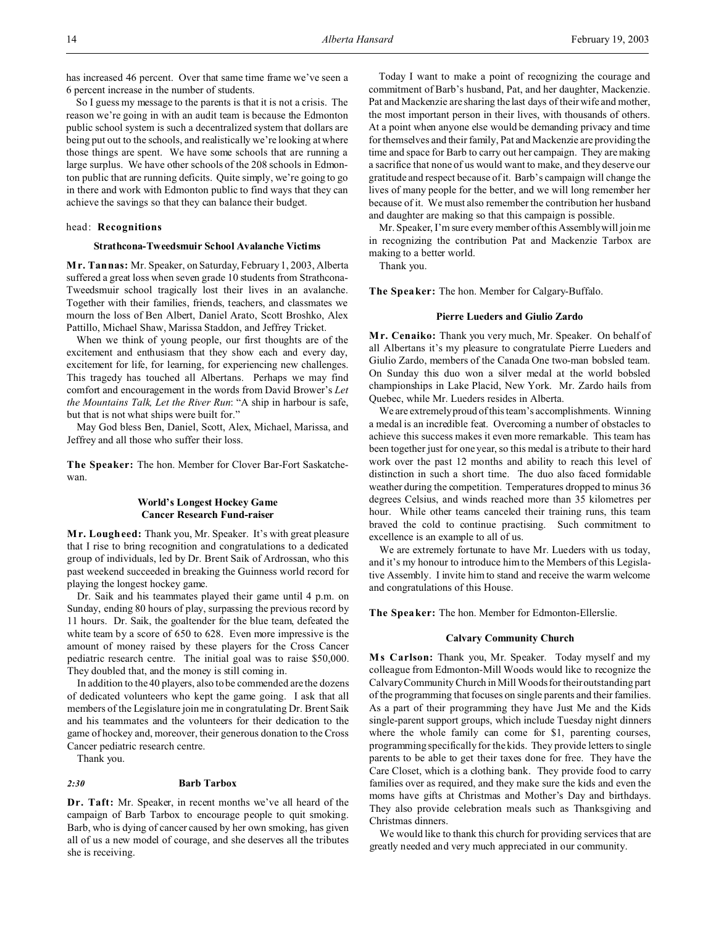has increased 46 percent. Over that same time frame we've seen a 6 percent increase in the number of students.

So I guess my message to the parents is that it is not a crisis. The reason we're going in with an audit team is because the Edmonton public school system is such a decentralized system that dollars are being put out to the schools, and realistically we're looking at where those things are spent. We have some schools that are running a large surplus. We have other schools of the 208 schools in Edmonton public that are running deficits. Quite simply, we're going to go in there and work with Edmonton public to find ways that they can achieve the savings so that they can balance their budget.

#### head: **Recognitions**

### **Strathcona-Tweedsmuir School Avalanche Victims**

**M r. Tannas:** Mr. Speaker, on Saturday, February 1, 2003, Alberta suffered a great loss when seven grade 10 students from Strathcona-Tweedsmuir school tragically lost their lives in an avalanche. Together with their families, friends, teachers, and classmates we mourn the loss of Ben Albert, Daniel Arato, Scott Broshko, Alex Pattillo, Michael Shaw, Marissa Staddon, and Jeffrey Tricket.

When we think of young people, our first thoughts are of the excitement and enthusiasm that they show each and every day, excitement for life, for learning, for experiencing new challenges. This tragedy has touched all Albertans. Perhaps we may find comfort and encouragement in the words from David Brower's *Let the Mountains Talk, Let the River Run*: "A ship in harbour is safe, but that is not what ships were built for."

May God bless Ben, Daniel, Scott, Alex, Michael, Marissa, and Jeffrey and all those who suffer their loss.

**The Speaker:** The hon. Member for Clover Bar-Fort Saskatchewan.

# **World's Longest Hockey Game Cancer Research Fund-raiser**

**M r. Lougheed:** Thank you, Mr. Speaker. It's with great pleasure that I rise to bring recognition and congratulations to a dedicated group of individuals, led by Dr. Brent Saik of Ardrossan, who this past weekend succeeded in breaking the Guinness world record for playing the longest hockey game.

Dr. Saik and his teammates played their game until 4 p.m. on Sunday, ending 80 hours of play, surpassing the previous record by 11 hours. Dr. Saik, the goaltender for the blue team, defeated the white team by a score of 650 to 628. Even more impressive is the amount of money raised by these players for the Cross Cancer pediatric research centre. The initial goal was to raise \$50,000. They doubled that, and the money is still coming in.

In addition to the 40 players, also to be commended are the dozens of dedicated volunteers who kept the game going. I ask that all members of the Legislature join me in congratulating Dr. Brent Saik and his teammates and the volunteers for their dedication to the game of hockey and, moreover, their generous donation to the Cross Cancer pediatric research centre.

Thank you.

#### *2:30* **Barb Tarbox**

**Dr. Taft:** Mr. Speaker, in recent months we've all heard of the campaign of Barb Tarbox to encourage people to quit smoking. Barb, who is dying of cancer caused by her own smoking, has given all of us a new model of courage, and she deserves all the tributes she is receiving.

Today I want to make a point of recognizing the courage and commitment of Barb's husband, Pat, and her daughter, Mackenzie. Pat and Mackenzie are sharing the last days of their wife and mother, the most important person in their lives, with thousands of others. At a point when anyone else would be demanding privacy and time for themselves and their family, Pat and Mackenzie are providing the time and space for Barb to carry out her campaign. They are making a sacrifice that none of us would want to make, and they deserve our gratitude and respect because of it. Barb's campaign will change the lives of many people for the better, and we will long remember her because of it. We must also remember the contribution her husband and daughter are making so that this campaign is possible.

Mr. Speaker, I'm sure every member of this Assembly will join me in recognizing the contribution Pat and Mackenzie Tarbox are making to a better world.

Thank you.

**The Speaker:** The hon. Member for Calgary-Buffalo.

### **Pierre Lueders and Giulio Zardo**

**Mr. Cenaiko:** Thank you very much, Mr. Speaker. On behalf of all Albertans it's my pleasure to congratulate Pierre Lueders and Giulio Zardo, members of the Canada One two-man bobsled team. On Sunday this duo won a silver medal at the world bobsled championships in Lake Placid, New York. Mr. Zardo hails from Quebec, while Mr. Lueders resides in Alberta.

We are extremely proud of this team's accomplishments. Winning a medal is an incredible feat. Overcoming a number of obstacles to achieve this success makes it even more remarkable. This team has been together just for one year, so this medal is a tribute to their hard work over the past 12 months and ability to reach this level of distinction in such a short time. The duo also faced formidable weather during the competition. Temperatures dropped to minus 36 degrees Celsius, and winds reached more than 35 kilometres per hour. While other teams canceled their training runs, this team braved the cold to continue practising. Such commitment to excellence is an example to all of us.

We are extremely fortunate to have Mr. Lueders with us today, and it's my honour to introduce him to the Members of this Legislative Assembly. I invite him to stand and receive the warm welcome and congratulations of this House.

**The Speaker:** The hon. Member for Edmonton-Ellerslie.

### **Calvary Community Church**

**M s Carlson:** Thank you, Mr. Speaker. Today myself and my colleague from Edmonton-Mill Woods would like to recognize the Calvary Community Church in Mill Woods for theiroutstanding part of the programming that focuses on single parents and their families. As a part of their programming they have Just Me and the Kids single-parent support groups, which include Tuesday night dinners where the whole family can come for \$1, parenting courses, programming specifically for the kids. They provide letters to single parents to be able to get their taxes done for free. They have the Care Closet, which is a clothing bank. They provide food to carry families over as required, and they make sure the kids and even the moms have gifts at Christmas and Mother's Day and birthdays. They also provide celebration meals such as Thanksgiving and Christmas dinners.

We would like to thank this church for providing services that are greatly needed and very much appreciated in our community.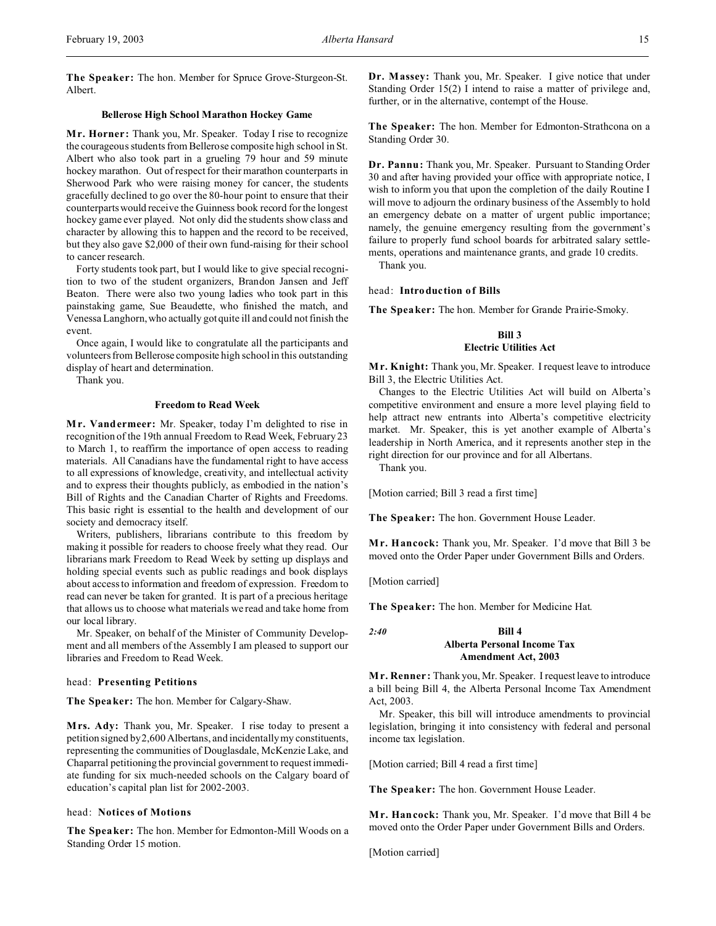**The Speaker:** The hon. Member for Spruce Grove-Sturgeon-St. Albert.

# **Bellerose High School Marathon Hockey Game**

**Mr. Horner:** Thank you, Mr. Speaker. Today I rise to recognize the courageous students from Bellerose composite high school in St. Albert who also took part in a grueling 79 hour and 59 minute hockey marathon. Out of respect for their marathon counterparts in Sherwood Park who were raising money for cancer, the students gracefully declined to go over the 80-hour point to ensure that their counterparts would receive the Guinness book record for the longest hockey game ever played. Not only did the students show class and character by allowing this to happen and the record to be received, but they also gave \$2,000 of their own fund-raising for their school to cancer research.

Forty students took part, but I would like to give special recognition to two of the student organizers, Brandon Jansen and Jeff Beaton. There were also two young ladies who took part in this painstaking game, Sue Beaudette, who finished the match, and Venessa Langhorn, who actually got quite ill and could not finish the event.

Once again, I would like to congratulate all the participants and volunteers from Bellerose composite high school in this outstanding display of heart and determination.

Thank you.

# **Freedom to Read Week**

**Mr. Vandermeer:** Mr. Speaker, today I'm delighted to rise in recognition of the 19th annual Freedom to Read Week, February 23 to March 1, to reaffirm the importance of open access to reading materials. All Canadians have the fundamental right to have access to all expressions of knowledge, creativity, and intellectual activity and to express their thoughts publicly, as embodied in the nation's Bill of Rights and the Canadian Charter of Rights and Freedoms. This basic right is essential to the health and development of our society and democracy itself.

Writers, publishers, librarians contribute to this freedom by making it possible for readers to choose freely what they read. Our librarians mark Freedom to Read Week by setting up displays and holding special events such as public readings and book displays about access to information and freedom of expression. Freedom to read can never be taken for granted. It is part of a precious heritage that allows us to choose what materials we read and take home from our local library.

Mr. Speaker, on behalf of the Minister of Community Development and all members of the Assembly I am pleased to support our libraries and Freedom to Read Week.

### head: **Presenting Petitions**

**The Speaker:** The hon. Member for Calgary-Shaw.

**Mrs. Ady:** Thank you, Mr. Speaker. I rise today to present a petition signed by 2,600 Albertans, and incidentally my constituents, representing the communities of Douglasdale, McKenzie Lake, and Chaparral petitioning the provincial government to request immediate funding for six much-needed schools on the Calgary board of education's capital plan list for 2002-2003.

### head: **Notices of Motions**

**The Speaker:** The hon. Member for Edmonton-Mill Woods on a Standing Order 15 motion.

**Dr. Massey:** Thank you, Mr. Speaker. I give notice that under Standing Order 15(2) I intend to raise a matter of privilege and, further, or in the alternative, contempt of the House.

**The Speaker:** The hon. Member for Edmonton-Strathcona on a Standing Order 30.

**Dr. Pannu:** Thank you, Mr. Speaker. Pursuant to Standing Order 30 and after having provided your office with appropriate notice, I wish to inform you that upon the completion of the daily Routine I will move to adjourn the ordinary business of the Assembly to hold an emergency debate on a matter of urgent public importance; namely, the genuine emergency resulting from the government's failure to properly fund school boards for arbitrated salary settlements, operations and maintenance grants, and grade 10 credits.

Thank you.

### head: **Introduction of Bills**

**The Speaker:** The hon. Member for Grande Prairie-Smoky.

# **Bill 3 Electric Utilities Act**

**M r. Knight:** Thank you, Mr. Speaker. I request leave to introduce Bill 3, the Electric Utilities Act.

Changes to the Electric Utilities Act will build on Alberta's competitive environment and ensure a more level playing field to help attract new entrants into Alberta's competitive electricity market. Mr. Speaker, this is yet another example of Alberta's leadership in North America, and it represents another step in the right direction for our province and for all Albertans.

Thank you.

[Motion carried; Bill 3 read a first time]

**The Speaker:** The hon. Government House Leader.

**M r. Hancock:** Thank you, Mr. Speaker. I'd move that Bill 3 be moved onto the Order Paper under Government Bills and Orders.

[Motion carried]

**The Speaker:** The hon. Member for Medicine Hat.

# *2:40* **Bill 4 Alberta Personal Income Tax Amendment Act, 2003**

**M r. Renner:** Thank you, Mr. Speaker. I request leave to introduce a bill being Bill 4, the Alberta Personal Income Tax Amendment Act, 2003.

Mr. Speaker, this bill will introduce amendments to provincial legislation, bringing it into consistency with federal and personal income tax legislation.

[Motion carried; Bill 4 read a first time]

**The Speaker:** The hon. Government House Leader.

**M r. Hancock:** Thank you, Mr. Speaker. I'd move that Bill 4 be moved onto the Order Paper under Government Bills and Orders.

[Motion carried]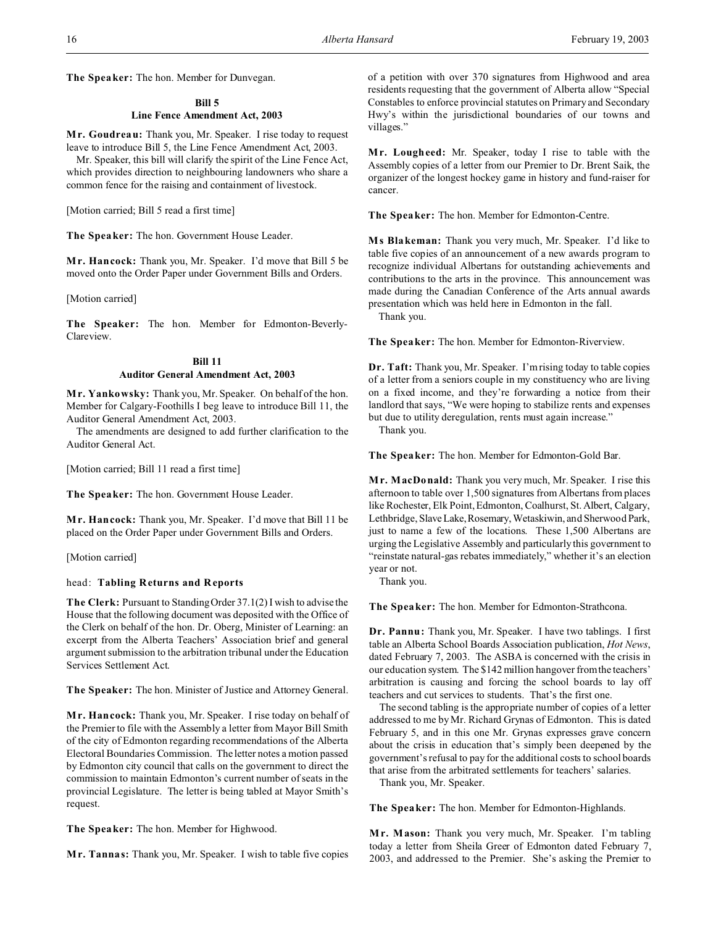**The Speaker:** The hon. Member for Dunvegan.

### **Bill 5**

# **Line Fence Amendment Act, 2003**

**Mr. Goudreau:** Thank you, Mr. Speaker. I rise today to request leave to introduce Bill 5, the Line Fence Amendment Act, 2003.

Mr. Speaker, this bill will clarify the spirit of the Line Fence Act, which provides direction to neighbouring landowners who share a common fence for the raising and containment of livestock.

[Motion carried; Bill 5 read a first time]

**The Speaker:** The hon. Government House Leader.

**M r. Hancock:** Thank you, Mr. Speaker. I'd move that Bill 5 be moved onto the Order Paper under Government Bills and Orders.

[Motion carried]

**The Speaker:** The hon. Member for Edmonton-Beverly-Clareview.

# **Bill 11 Auditor General Amendment Act, 2003**

**M r. Yankowsky:** Thank you, Mr. Speaker. On behalf of the hon. Member for Calgary-Foothills I beg leave to introduce Bill 11, the Auditor General Amendment Act, 2003.

The amendments are designed to add further clarification to the Auditor General Act.

[Motion carried; Bill 11 read a first time]

**The Speaker:** The hon. Government House Leader.

**M r. Hancock:** Thank you, Mr. Speaker. I'd move that Bill 11 be placed on the Order Paper under Government Bills and Orders.

[Motion carried]

# head: **Tabling Returns and Reports**

**The Clerk:** Pursuant to Standing Order 37.1(2) I wish to advise the House that the following document was deposited with the Office of the Clerk on behalf of the hon. Dr. Oberg, Minister of Learning: an excerpt from the Alberta Teachers' Association brief and general argument submission to the arbitration tribunal under the Education Services Settlement Act.

**The Speaker:** The hon. Minister of Justice and Attorney General.

**M r. Hancock:** Thank you, Mr. Speaker. I rise today on behalf of the Premier to file with the Assembly a letter from Mayor Bill Smith of the city of Edmonton regarding recommendations of the Alberta Electoral Boundaries Commission. The letter notes a motion passed by Edmonton city council that calls on the government to direct the commission to maintain Edmonton's current number of seats in the provincial Legislature. The letter is being tabled at Mayor Smith's request.

**The Speaker:** The hon. Member for Highwood.

**M r. Tannas:** Thank you, Mr. Speaker. I wish to table five copies

of a petition with over 370 signatures from Highwood and area residents requesting that the government of Alberta allow "Special Constables to enforce provincial statutes on Primary and Secondary Hwy's within the jurisdictional boundaries of our towns and villages."

**M r. Lougheed:** Mr. Speaker, today I rise to table with the Assembly copies of a letter from our Premier to Dr. Brent Saik, the organizer of the longest hockey game in history and fund-raiser for cancer.

**The Speaker:** The hon. Member for Edmonton-Centre.

**M s Blakeman:** Thank you very much, Mr. Speaker. I'd like to table five copies of an announcement of a new awards program to recognize individual Albertans for outstanding achievements and contributions to the arts in the province. This announcement was made during the Canadian Conference of the Arts annual awards presentation which was held here in Edmonton in the fall.

Thank you.

**The Speaker:** The hon. Member for Edmonton-Riverview.

**Dr. Taft:** Thank you, Mr. Speaker. I'm rising today to table copies of a letter from a seniors couple in my constituency who are living on a fixed income, and they're forwarding a notice from their landlord that says, "We were hoping to stabilize rents and expenses but due to utility deregulation, rents must again increase."

Thank you.

**The Speaker:** The hon. Member for Edmonton-Gold Bar.

**M r. MacDonald:** Thank you very much, Mr. Speaker. I rise this afternoon to table over 1,500 signatures from Albertans from places like Rochester, Elk Point, Edmonton, Coalhurst, St. Albert, Calgary, Lethbridge, Slave Lake, Rosemary, Wetaskiwin, and Sherwood Park, just to name a few of the locations. These 1,500 Albertans are urging the Legislative Assembly and particularly this government to "reinstate natural-gas rebates immediately," whether it's an election year or not.

Thank you.

**The Speaker:** The hon. Member for Edmonton-Strathcona.

**Dr. Pannu:** Thank you, Mr. Speaker. I have two tablings. I first table an Alberta School Boards Association publication, *Hot News*, dated February 7, 2003. The ASBA is concerned with the crisis in our education system. The \$142 million hangover from the teachers' arbitration is causing and forcing the school boards to lay off teachers and cut services to students. That's the first one.

The second tabling is the appropriate number of copies of a letter addressed to me by Mr. Richard Grynas of Edmonton. This is dated February 5, and in this one Mr. Grynas expresses grave concern about the crisis in education that's simply been deepened by the government's refusal to pay for the additional costs to school boards that arise from the arbitrated settlements for teachers' salaries.

Thank you, Mr. Speaker.

**The Speaker:** The hon. Member for Edmonton-Highlands.

**M r. Mason:** Thank you very much, Mr. Speaker. I'm tabling today a letter from Sheila Greer of Edmonton dated February 7, 2003, and addressed to the Premier. She's asking the Premier to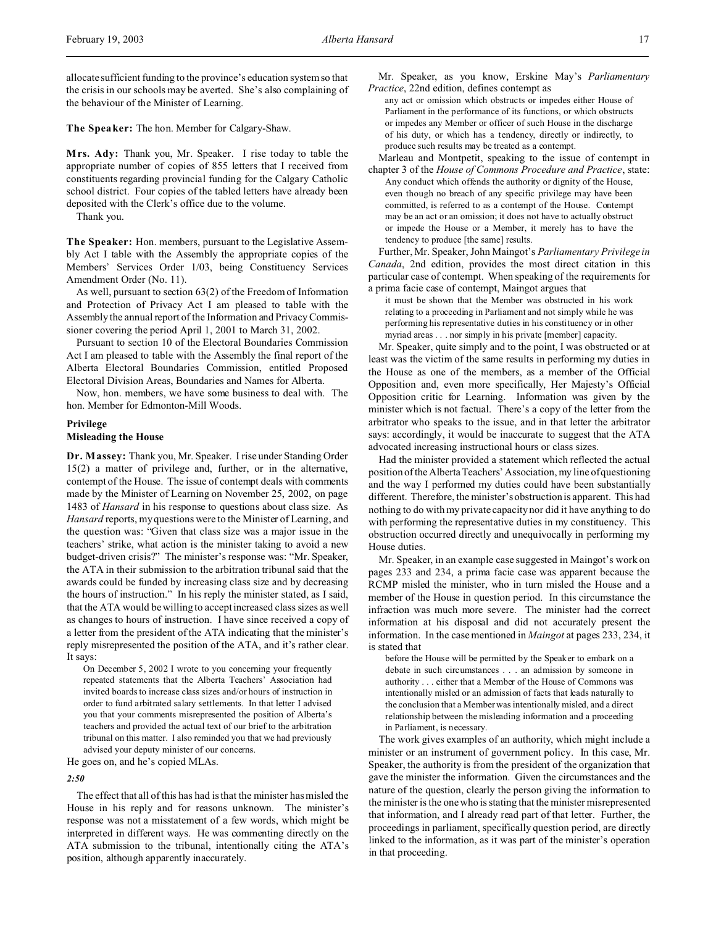allocate sufficient funding to the province's education system so that the crisis in our schools may be averted. She's also complaining of the behaviour of the Minister of Learning.

**The Speaker:** The hon. Member for Calgary-Shaw.

**Mrs. Ady:** Thank you, Mr. Speaker. I rise today to table the appropriate number of copies of 855 letters that I received from constituents regarding provincial funding for the Calgary Catholic school district. Four copies of the tabled letters have already been deposited with the Clerk's office due to the volume.

Thank you.

**The Speaker:** Hon. members, pursuant to the Legislative Assembly Act I table with the Assembly the appropriate copies of the Members' Services Order 1/03, being Constituency Services Amendment Order (No. 11).

As well, pursuant to section 63(2) of the Freedom of Information and Protection of Privacy Act I am pleased to table with the Assembly the annual report of the Information and Privacy Commissioner covering the period April 1, 2001 to March 31, 2002.

Pursuant to section 10 of the Electoral Boundaries Commission Act I am pleased to table with the Assembly the final report of the Alberta Electoral Boundaries Commission, entitled Proposed Electoral Division Areas, Boundaries and Names for Alberta.

Now, hon. members, we have some business to deal with. The hon. Member for Edmonton-Mill Woods.

### **Privilege**

### **Misleading the House**

**Dr. Massey:** Thank you, Mr. Speaker. I rise under Standing Order 15(2) a matter of privilege and, further, or in the alternative, contempt of the House. The issue of contempt deals with comments made by the Minister of Learning on November 25, 2002, on page 1483 of *Hansard* in his response to questions about class size. As *Hansard* reports, my questions were to the Minister of Learning, and the question was: "Given that class size was a major issue in the teachers' strike, what action is the minister taking to avoid a new budget-driven crisis?" The minister's response was: "Mr. Speaker, the ATA in their submission to the arbitration tribunal said that the awards could be funded by increasing class size and by decreasing the hours of instruction." In his reply the minister stated, as I said, that the ATA would be willing to accept increased class sizes as well as changes to hours of instruction. I have since received a copy of a letter from the president of the ATA indicating that the minister's reply misrepresented the position of the ATA, and it's rather clear. It says:

On December 5, 2002 I wrote to you concerning your frequently repeated statements that the Alberta Teachers' Association had invited boards to increase class sizes and/or hours of instruction in order to fund arbitrated salary settlements. In that letter I advised you that your comments misrepresented the position of Alberta's teachers and provided the actual text of our brief to the arbitration tribunal on this matter. I also reminded you that we had previously advised your deputy minister of our concerns.

He goes on, and he's copied MLAs.

#### *2:50*

The effect that all of this has had is that the minister has misled the House in his reply and for reasons unknown. The minister's response was not a misstatement of a few words, which might be interpreted in different ways. He was commenting directly on the ATA submission to the tribunal, intentionally citing the ATA's position, although apparently inaccurately.

Mr. Speaker, as you know, Erskine May's *Parliamentary Practice*, 22nd edition, defines contempt as

any act or omission which obstructs or impedes either House of Parliament in the performance of its functions, or which obstructs or impedes any Member or officer of such House in the discharge of his duty, or which has a tendency, directly or indirectly, to produce such results may be treated as a contempt.

Marleau and Montpetit, speaking to the issue of contempt in chapter 3 of the *House of Commons Procedure and Practice*, state: Any conduct which offends the authority or dignity of the House, even though no breach of any specific privilege may have been committed, is referred to as a contempt of the House. Contempt may be an act or an omission; it does not have to actually obstruct or impede the House or a Member, it merely has to have the tendency to produce [the same] results.

Further, Mr. Speaker, John Maingot's *Parliamentary Privilege in Canada*, 2nd edition, provides the most direct citation in this particular case of contempt. When speaking of the requirements for a prima facie case of contempt, Maingot argues that

it must be shown that the Member was obstructed in his work relating to a proceeding in Parliament and not simply while he was performing his representative duties in his constituency or in other myriad areas . . . nor simply in his private [member] capacity.

Mr. Speaker, quite simply and to the point, I was obstructed or at least was the victim of the same results in performing my duties in the House as one of the members, as a member of the Official Opposition and, even more specifically, Her Majesty's Official Opposition critic for Learning. Information was given by the minister which is not factual. There's a copy of the letter from the arbitrator who speaks to the issue, and in that letter the arbitrator says: accordingly, it would be inaccurate to suggest that the ATA advocated increasing instructional hours or class sizes.

Had the minister provided a statement which reflected the actual position of the Alberta Teachers' Association, my line of questioning and the way I performed my duties could have been substantially different. Therefore, the minister's obstruction is apparent. This had nothing to do with my private capacity nor did it have anything to do with performing the representative duties in my constituency. This obstruction occurred directly and unequivocally in performing my House duties.

Mr. Speaker, in an example case suggested in Maingot's work on pages 233 and 234, a prima facie case was apparent because the RCMP misled the minister, who in turn misled the House and a member of the House in question period. In this circumstance the infraction was much more severe. The minister had the correct information at his disposal and did not accurately present the information. In the case mentioned in *Maingot* at pages 233, 234, it is stated that

before the House will be permitted by the Speaker to embark on a debate in such circumstances . . . an admission by someone in authority . . . either that a Member of the House of Commons was intentionally misled or an admission of facts that leads naturally to the conclusion that a Member was intentionally misled, and a direct relationship between the misleading information and a proceeding in Parliament, is necessary.

The work gives examples of an authority, which might include a minister or an instrument of government policy. In this case, Mr. Speaker, the authority is from the president of the organization that gave the minister the information. Given the circumstances and the nature of the question, clearly the person giving the information to the minister is the one who is stating that the minister misrepresented that information, and I already read part of that letter. Further, the proceedings in parliament, specifically question period, are directly linked to the information, as it was part of the minister's operation in that proceeding.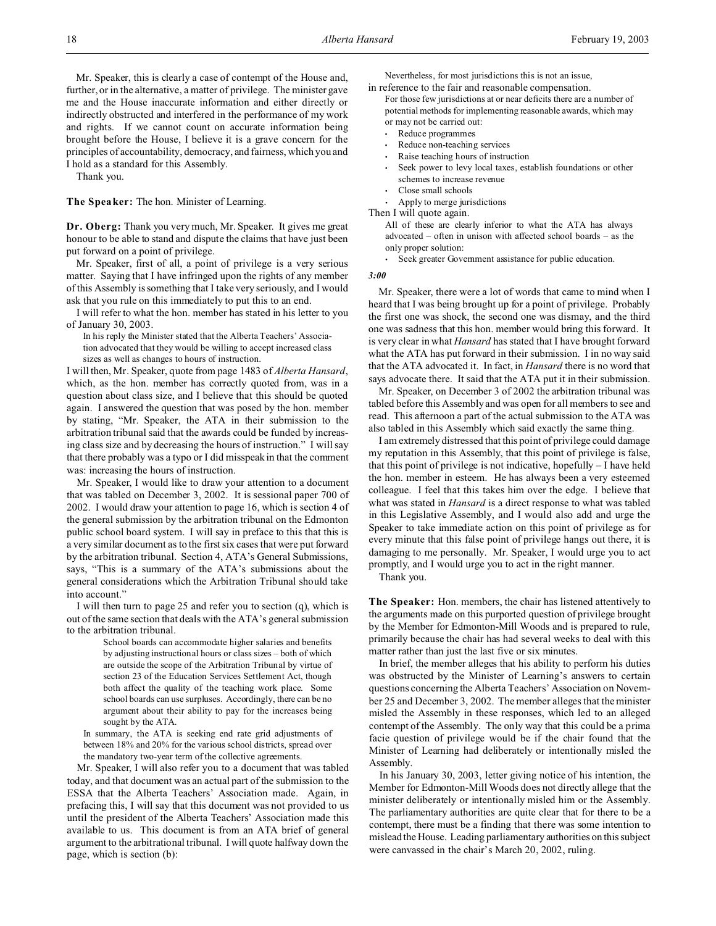Mr. Speaker, this is clearly a case of contempt of the House and, further, or in the alternative, a matter of privilege. The minister gave me and the House inaccurate information and either directly or indirectly obstructed and interfered in the performance of my work and rights. If we cannot count on accurate information being brought before the House, I believe it is a grave concern for the principles of accountability, democracy, and fairness, which you and I hold as a standard for this Assembly.

Thank you.

**The Speaker:** The hon. Minister of Learning.

**Dr. Oberg:** Thank you very much, Mr. Speaker. It gives me great honour to be able to stand and dispute the claims that have just been put forward on a point of privilege.

Mr. Speaker, first of all, a point of privilege is a very serious matter. Saying that I have infringed upon the rights of any member of this Assembly is something that I take very seriously, and I would ask that you rule on this immediately to put this to an end.

I will refer to what the hon. member has stated in his letter to you of January 30, 2003.

In his reply the Minister stated that the Alberta Teachers' Association advocated that they would be willing to accept increased class sizes as well as changes to hours of instruction.

I will then, Mr. Speaker, quote from page 1483 of *Alberta Hansard*, which, as the hon. member has correctly quoted from, was in a question about class size, and I believe that this should be quoted again. I answered the question that was posed by the hon. member by stating, "Mr. Speaker, the ATA in their submission to the arbitration tribunal said that the awards could be funded by increasing class size and by decreasing the hours of instruction." I will say that there probably was a typo or I did misspeak in that the comment was: increasing the hours of instruction.

Mr. Speaker, I would like to draw your attention to a document that was tabled on December 3, 2002. It is sessional paper 700 of 2002. I would draw your attention to page 16, which is section 4 of the general submission by the arbitration tribunal on the Edmonton public school board system. I will say in preface to this that this is a very similar document as to the first six cases that were put forward by the arbitration tribunal. Section 4, ATA's General Submissions, says, "This is a summary of the ATA's submissions about the general considerations which the Arbitration Tribunal should take into account."

I will then turn to page 25 and refer you to section (q), which is out of the same section that deals with the ATA's general submission to the arbitration tribunal.

> School boards can accommodate higher salaries and benefits by adjusting instructional hours or class sizes – both of which are outside the scope of the Arbitration Tribunal by virtue of section 23 of the Education Services Settlement Act, though both affect the quality of the teaching work place. Some school boards can use surpluses. Accordingly, there can be no argument about their ability to pay for the increases being sought by the ATA.

In summary, the ATA is seeking end rate grid adjustments of between 18% and 20% for the various school districts, spread over the mandatory two-year term of the collective agreements.

Mr. Speaker, I will also refer you to a document that was tabled today, and that document was an actual part of the submission to the ESSA that the Alberta Teachers' Association made. Again, in prefacing this, I will say that this document was not provided to us until the president of the Alberta Teachers' Association made this available to us. This document is from an ATA brief of general argument to the arbitrational tribunal. I will quote halfway down the page, which is section (b):

Nevertheless, for most jurisdictions this is not an issue, in reference to the fair and reasonable compensation.

- For those few jurisdictions at or near deficits there are a number of potential methods for implementing reasonable awards, which may or may not be carried out:
	- Reduce programmes
	- Reduce non-teaching services
	- Raise teaching hours of instruction
	- Seek power to levy local taxes, establish foundations or other schemes to increase revenue
	- Close small schools
	- Apply to merge jurisdictions

Then I will quote again.

- All of these are clearly inferior to what the ATA has always advocated – often in unison with affected school boards – as the only proper solution:
- Seek greater Government assistance for public education.

### *3:00*

Mr. Speaker, there were a lot of words that came to mind when I heard that I was being brought up for a point of privilege. Probably the first one was shock, the second one was dismay, and the third one was sadness that this hon. member would bring this forward. It is very clear in what *Hansard* has stated that I have brought forward what the ATA has put forward in their submission. I in no way said that the ATA advocated it. In fact, in *Hansard* there is no word that says advocate there. It said that the ATA put it in their submission.

Mr. Speaker, on December 3 of 2002 the arbitration tribunal was tabled before this Assembly and was open for all members to see and read. This afternoon a part of the actual submission to the ATA was also tabled in this Assembly which said exactly the same thing.

I am extremely distressed that this point of privilege could damage my reputation in this Assembly, that this point of privilege is false, that this point of privilege is not indicative, hopefully – I have held the hon. member in esteem. He has always been a very esteemed colleague. I feel that this takes him over the edge. I believe that what was stated in *Hansard* is a direct response to what was tabled in this Legislative Assembly, and I would also add and urge the Speaker to take immediate action on this point of privilege as for every minute that this false point of privilege hangs out there, it is damaging to me personally. Mr. Speaker, I would urge you to act promptly, and I would urge you to act in the right manner.

Thank you.

**The Speaker:** Hon. members, the chair has listened attentively to the arguments made on this purported question of privilege brought by the Member for Edmonton-Mill Woods and is prepared to rule, primarily because the chair has had several weeks to deal with this matter rather than just the last five or six minutes.

In brief, the member alleges that his ability to perform his duties was obstructed by the Minister of Learning's answers to certain questions concerning the Alberta Teachers' Association on November 25 and December 3, 2002. The member alleges that the minister misled the Assembly in these responses, which led to an alleged contempt of the Assembly. The only way that this could be a prima facie question of privilege would be if the chair found that the Minister of Learning had deliberately or intentionally misled the Assembly.

In his January 30, 2003, letter giving notice of his intention, the Member for Edmonton-Mill Woods does not directly allege that the minister deliberately or intentionally misled him or the Assembly. The parliamentary authorities are quite clear that for there to be a contempt, there must be a finding that there was some intention to mislead the House. Leading parliamentary authorities on this subject were canvassed in the chair's March 20, 2002, ruling.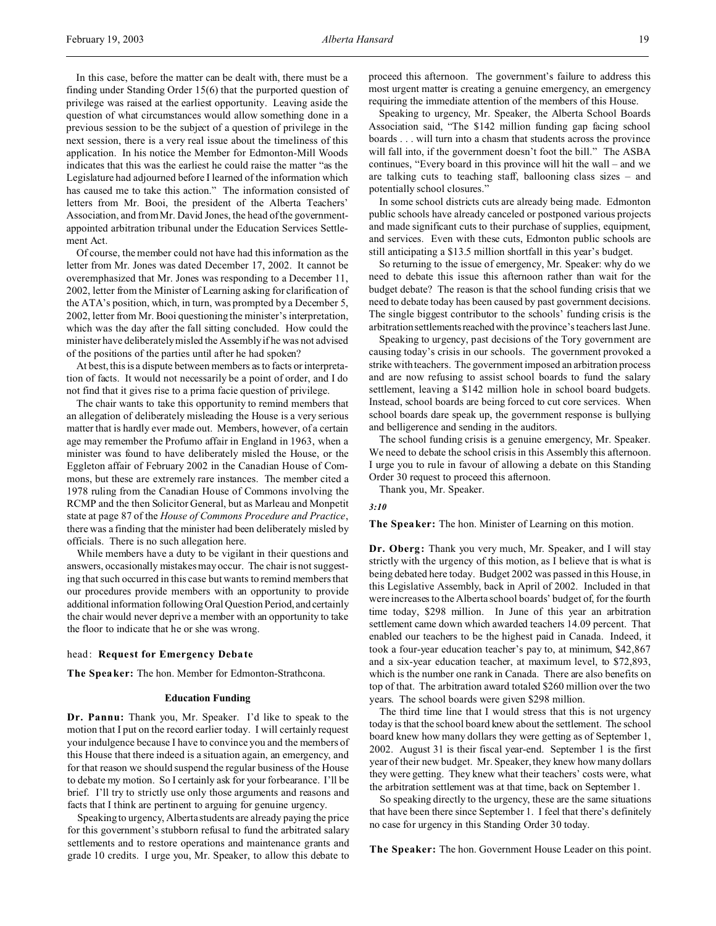In this case, before the matter can be dealt with, there must be a finding under Standing Order 15(6) that the purported question of privilege was raised at the earliest opportunity. Leaving aside the question of what circumstances would allow something done in a previous session to be the subject of a question of privilege in the next session, there is a very real issue about the timeliness of this application. In his notice the Member for Edmonton-Mill Woods indicates that this was the earliest he could raise the matter "as the Legislature had adjourned before I learned of the information which has caused me to take this action." The information consisted of letters from Mr. Booi, the president of the Alberta Teachers' Association, and from Mr. David Jones, the head of the governmentappointed arbitration tribunal under the Education Services Settlement Act.

Of course, the member could not have had this information as the letter from Mr. Jones was dated December 17, 2002. It cannot be overemphasized that Mr. Jones was responding to a December 11, 2002, letter from the Minister of Learning asking for clarification of the ATA's position, which, in turn, was prompted by a December 5, 2002, letter from Mr. Booi questioning the minister's interpretation, which was the day after the fall sitting concluded. How could the minister have deliberately misled the Assembly if he was not advised of the positions of the parties until after he had spoken?

At best, this is a dispute between members as to facts or interpretation of facts. It would not necessarily be a point of order, and I do not find that it gives rise to a prima facie question of privilege.

The chair wants to take this opportunity to remind members that an allegation of deliberately misleading the House is a very serious matter that is hardly ever made out. Members, however, of a certain age may remember the Profumo affair in England in 1963, when a minister was found to have deliberately misled the House, or the Eggleton affair of February 2002 in the Canadian House of Commons, but these are extremely rare instances. The member cited a 1978 ruling from the Canadian House of Commons involving the RCMP and the then Solicitor General, but as Marleau and Monpetit state at page 87 of the *House of Commons Procedure and Practice*, there was a finding that the minister had been deliberately misled by officials. There is no such allegation here.

While members have a duty to be vigilant in their questions and answers, occasionally mistakes may occur. The chair is not suggesting that such occurred in this case but wants to remind members that our procedures provide members with an opportunity to provide additional information following Oral Question Period, and certainly the chair would never deprive a member with an opportunity to take the floor to indicate that he or she was wrong.

### head: **Request for Emergency Debate**

**The Speaker:** The hon. Member for Edmonton-Strathcona.

#### **Education Funding**

**Dr. Pannu:** Thank you, Mr. Speaker. I'd like to speak to the motion that I put on the record earlier today. I will certainly request your indulgence because I have to convince you and the members of this House that there indeed is a situation again, an emergency, and for that reason we should suspend the regular business of the House to debate my motion. So I certainly ask for your forbearance. I'll be brief. I'll try to strictly use only those arguments and reasons and facts that I think are pertinent to arguing for genuine urgency.

Speaking to urgency, Alberta students are already paying the price for this government's stubborn refusal to fund the arbitrated salary settlements and to restore operations and maintenance grants and grade 10 credits. I urge you, Mr. Speaker, to allow this debate to

proceed this afternoon. The government's failure to address this most urgent matter is creating a genuine emergency, an emergency requiring the immediate attention of the members of this House.

Speaking to urgency, Mr. Speaker, the Alberta School Boards Association said, "The \$142 million funding gap facing school boards . . . will turn into a chasm that students across the province will fall into, if the government doesn't foot the bill." The ASBA continues, "Every board in this province will hit the wall – and we are talking cuts to teaching staff, ballooning class sizes – and potentially school closures."

In some school districts cuts are already being made. Edmonton public schools have already canceled or postponed various projects and made significant cuts to their purchase of supplies, equipment, and services. Even with these cuts, Edmonton public schools are still anticipating a \$13.5 million shortfall in this year's budget.

So returning to the issue of emergency, Mr. Speaker: why do we need to debate this issue this afternoon rather than wait for the budget debate? The reason is that the school funding crisis that we need to debate today has been caused by past government decisions. The single biggest contributor to the schools' funding crisis is the arbitration settlements reached with the province's teachers last June.

Speaking to urgency, past decisions of the Tory government are causing today's crisis in our schools. The government provoked a strike with teachers. The government imposed an arbitration process and are now refusing to assist school boards to fund the salary settlement, leaving a \$142 million hole in school board budgets. Instead, school boards are being forced to cut core services. When school boards dare speak up, the government response is bullying and belligerence and sending in the auditors.

The school funding crisis is a genuine emergency, Mr. Speaker. We need to debate the school crisis in this Assembly this afternoon. I urge you to rule in favour of allowing a debate on this Standing Order 30 request to proceed this afternoon.

Thank you, Mr. Speaker.

#### *3:10*

**The Speaker:** The hon. Minister of Learning on this motion.

**Dr. Oberg:** Thank you very much, Mr. Speaker, and I will stay strictly with the urgency of this motion, as I believe that is what is being debated here today. Budget 2002 was passed in this House, in this Legislative Assembly, back in April of 2002. Included in that were increases to the Alberta school boards' budget of, for the fourth time today, \$298 million. In June of this year an arbitration settlement came down which awarded teachers 14.09 percent. That enabled our teachers to be the highest paid in Canada. Indeed, it took a four-year education teacher's pay to, at minimum, \$42,867 and a six-year education teacher, at maximum level, to \$72,893, which is the number one rank in Canada. There are also benefits on top of that. The arbitration award totaled \$260 million over the two years. The school boards were given \$298 million.

The third time line that I would stress that this is not urgency today is that the school board knew about the settlement. The school board knew how many dollars they were getting as of September 1, 2002. August 31 is their fiscal year-end. September 1 is the first year of their new budget. Mr. Speaker, they knew how many dollars they were getting. They knew what their teachers' costs were, what the arbitration settlement was at that time, back on September 1.

So speaking directly to the urgency, these are the same situations that have been there since September 1. I feel that there's definitely no case for urgency in this Standing Order 30 today.

**The Speaker:** The hon. Government House Leader on this point.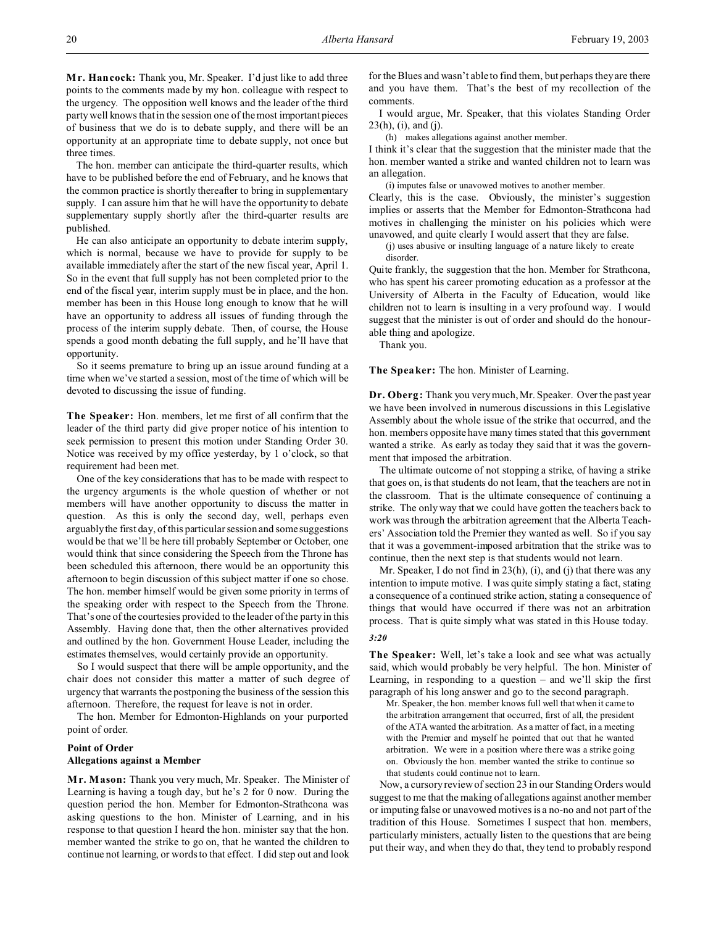**M r. Hancock:** Thank you, Mr. Speaker. I'd just like to add three points to the comments made by my hon. colleague with respect to the urgency. The opposition well knows and the leader of the third party well knows that in the session one of the most important pieces of business that we do is to debate supply, and there will be an opportunity at an appropriate time to debate supply, not once but three times.

The hon. member can anticipate the third-quarter results, which have to be published before the end of February, and he knows that the common practice is shortly thereafter to bring in supplementary supply. I can assure him that he will have the opportunity to debate supplementary supply shortly after the third-quarter results are published.

He can also anticipate an opportunity to debate interim supply, which is normal, because we have to provide for supply to be available immediately after the start of the new fiscal year, April 1. So in the event that full supply has not been completed prior to the end of the fiscal year, interim supply must be in place, and the hon. member has been in this House long enough to know that he will have an opportunity to address all issues of funding through the process of the interim supply debate. Then, of course, the House spends a good month debating the full supply, and he'll have that opportunity.

So it seems premature to bring up an issue around funding at a time when we've started a session, most of the time of which will be devoted to discussing the issue of funding.

**The Speaker:** Hon. members, let me first of all confirm that the leader of the third party did give proper notice of his intention to seek permission to present this motion under Standing Order 30. Notice was received by my office yesterday, by 1 o'clock, so that requirement had been met.

One of the key considerations that has to be made with respect to the urgency arguments is the whole question of whether or not members will have another opportunity to discuss the matter in question. As this is only the second day, well, perhaps even arguably the first day, of this particular session and some suggestions would be that we'll be here till probably September or October, one would think that since considering the Speech from the Throne has been scheduled this afternoon, there would be an opportunity this afternoon to begin discussion of this subject matter if one so chose. The hon. member himself would be given some priority in terms of the speaking order with respect to the Speech from the Throne. That's one of the courtesies provided to the leader of the party in this Assembly. Having done that, then the other alternatives provided and outlined by the hon. Government House Leader, including the estimates themselves, would certainly provide an opportunity.

So I would suspect that there will be ample opportunity, and the chair does not consider this matter a matter of such degree of urgency that warrants the postponing the business of the session this afternoon. Therefore, the request for leave is not in order.

The hon. Member for Edmonton-Highlands on your purported point of order.

# **Point of Order Allegations against a Member**

**M r. Mason:** Thank you very much, Mr. Speaker. The Minister of Learning is having a tough day, but he's 2 for 0 now. During the question period the hon. Member for Edmonton-Strathcona was asking questions to the hon. Minister of Learning, and in his response to that question I heard the hon. minister say that the hon. member wanted the strike to go on, that he wanted the children to continue not learning, or words to that effect. I did step out and look

for the Blues and wasn't able to find them, but perhaps they are there and you have them. That's the best of my recollection of the comments.

I would argue, Mr. Speaker, that this violates Standing Order  $23(h)$ , (i), and (j).

(h) makes allegations against another member.

I think it's clear that the suggestion that the minister made that the hon. member wanted a strike and wanted children not to learn was an allegation.

(i) imputes false or unavowed motives to another member.

Clearly, this is the case. Obviously, the minister's suggestion implies or asserts that the Member for Edmonton-Strathcona had motives in challenging the minister on his policies which were unavowed, and quite clearly I would assert that they are false.

(j) uses abusive or insulting language of a nature likely to create disorder.

Quite frankly, the suggestion that the hon. Member for Strathcona, who has spent his career promoting education as a professor at the University of Alberta in the Faculty of Education, would like children not to learn is insulting in a very profound way. I would suggest that the minister is out of order and should do the honourable thing and apologize.

Thank you.

**The Speaker:** The hon. Minister of Learning.

**Dr. Oberg:** Thank you very much, Mr. Speaker. Over the past year we have been involved in numerous discussions in this Legislative Assembly about the whole issue of the strike that occurred, and the hon. members opposite have many times stated that this government wanted a strike. As early as today they said that it was the government that imposed the arbitration.

The ultimate outcome of not stopping a strike, of having a strike that goes on, is that students do not learn, that the teachers are not in the classroom. That is the ultimate consequence of continuing a strike. The only way that we could have gotten the teachers back to work was through the arbitration agreement that the Alberta Teachers' Association told the Premier they wanted as well. So if you say that it was a government-imposed arbitration that the strike was to continue, then the next step is that students would not learn.

Mr. Speaker, I do not find in 23(h), (i), and (j) that there was any intention to impute motive. I was quite simply stating a fact, stating a consequence of a continued strike action, stating a consequence of things that would have occurred if there was not an arbitration process. That is quite simply what was stated in this House today.

# *3:20*

**The Speaker:** Well, let's take a look and see what was actually said, which would probably be very helpful. The hon. Minister of Learning, in responding to a question  $-$  and we'll skip the first paragraph of his long answer and go to the second paragraph.

Mr. Speaker, the hon. member knows full well that when it came to the arbitration arrangement that occurred, first of all, the president of the ATA wanted the arbitration. As a matter of fact, in a meeting with the Premier and myself he pointed that out that he wanted arbitration. We were in a position where there was a strike going on. Obviously the hon. member wanted the strike to continue so that students could continue not to learn.

Now, a cursory review of section 23 in our Standing Orders would suggest to me that the making of allegations against another member or imputing false or unavowed motives is a no-no and not part of the tradition of this House. Sometimes I suspect that hon. members, particularly ministers, actually listen to the questions that are being put their way, and when they do that, they tend to probably respond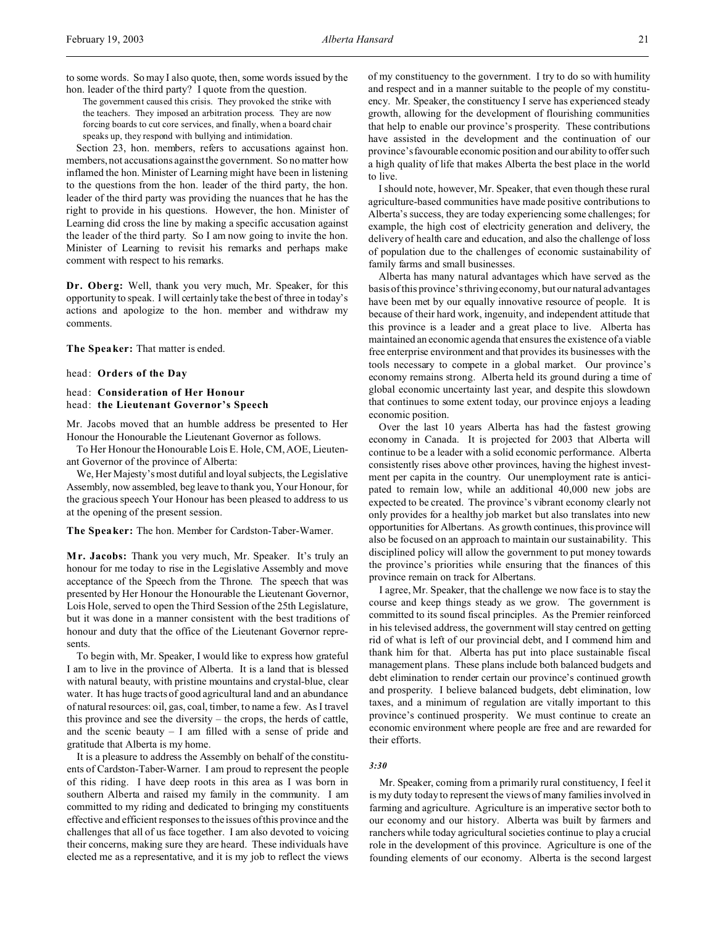to some words. So may I also quote, then, some words issued by the hon. leader of the third party? I quote from the question.

The government caused this crisis. They provoked the strike with the teachers. They imposed an arbitration process. They are now forcing boards to cut core services, and finally, when a board chair speaks up, they respond with bullying and intimidation.

Section 23, hon. members, refers to accusations against hon. members, not accusations against the government. So no matter how inflamed the hon. Minister of Learning might have been in listening to the questions from the hon. leader of the third party, the hon. leader of the third party was providing the nuances that he has the right to provide in his questions. However, the hon. Minister of Learning did cross the line by making a specific accusation against the leader of the third party. So I am now going to invite the hon. Minister of Learning to revisit his remarks and perhaps make comment with respect to his remarks.

**Dr. Oberg:** Well, thank you very much, Mr. Speaker, for this opportunity to speak. I will certainly take the best of three in today's actions and apologize to the hon. member and withdraw my comments.

**The Speaker:** That matter is ended.

head: **Orders of the Day**

# head: **Consideration of Her Honour**  head: **the Lieutenant Governor's Speech**

Mr. Jacobs moved that an humble address be presented to Her Honour the Honourable the Lieutenant Governor as follows.

To Her Honour the Honourable Lois E. Hole, CM, AOE, Lieutenant Governor of the province of Alberta:

We, Her Majesty's most dutiful and loyal subjects, the Legislative Assembly, now assembled, beg leave to thank you, Your Honour, for the gracious speech Your Honour has been pleased to address to us at the opening of the present session.

**The Speaker:** The hon. Member for Cardston-Taber-Warner.

**M r. Jacobs:** Thank you very much, Mr. Speaker. It's truly an honour for me today to rise in the Legislative Assembly and move acceptance of the Speech from the Throne. The speech that was presented by Her Honour the Honourable the Lieutenant Governor, Lois Hole, served to open the Third Session of the 25th Legislature, but it was done in a manner consistent with the best traditions of honour and duty that the office of the Lieutenant Governor represents.

To begin with, Mr. Speaker, I would like to express how grateful I am to live in the province of Alberta. It is a land that is blessed with natural beauty, with pristine mountains and crystal-blue, clear water. It has huge tracts of good agricultural land and an abundance of natural resources: oil, gas, coal, timber, to name a few. As I travel this province and see the diversity – the crops, the herds of cattle, and the scenic beauty – I am filled with a sense of pride and gratitude that Alberta is my home.

It is a pleasure to address the Assembly on behalf of the constituents of Cardston-Taber-Warner. I am proud to represent the people of this riding. I have deep roots in this area as I was born in southern Alberta and raised my family in the community. I am committed to my riding and dedicated to bringing my constituents effective and efficient responses to the issues of this province and the challenges that all of us face together. I am also devoted to voicing their concerns, making sure they are heard. These individuals have elected me as a representative, and it is my job to reflect the views

of my constituency to the government. I try to do so with humility and respect and in a manner suitable to the people of my constituency. Mr. Speaker, the constituency I serve has experienced steady growth, allowing for the development of flourishing communities that help to enable our province's prosperity. These contributions have assisted in the development and the continuation of our province'sfavourable economic position and our ability to offer such a high quality of life that makes Alberta the best place in the world to live.

I should note, however, Mr. Speaker, that even though these rural agriculture-based communities have made positive contributions to Alberta's success, they are today experiencing some challenges; for example, the high cost of electricity generation and delivery, the delivery of health care and education, and also the challenge of loss of population due to the challenges of economic sustainability of family farms and small businesses.

Alberta has many natural advantages which have served as the basis of this province's thriving economy, but our natural advantages have been met by our equally innovative resource of people. It is because of their hard work, ingenuity, and independent attitude that this province is a leader and a great place to live. Alberta has maintained an economic agenda that ensures the existence of a viable free enterprise environment and that provides its businesses with the tools necessary to compete in a global market. Our province's economy remains strong. Alberta held its ground during a time of global economic uncertainty last year, and despite this slowdown that continues to some extent today, our province enjoys a leading economic position.

Over the last 10 years Alberta has had the fastest growing economy in Canada. It is projected for 2003 that Alberta will continue to be a leader with a solid economic performance. Alberta consistently rises above other provinces, having the highest investment per capita in the country. Our unemployment rate is anticipated to remain low, while an additional 40,000 new jobs are expected to be created. The province's vibrant economy clearly not only provides for a healthy job market but also translates into new opportunities for Albertans. As growth continues, this province will also be focused on an approach to maintain our sustainability. This disciplined policy will allow the government to put money towards the province's priorities while ensuring that the finances of this province remain on track for Albertans.

I agree, Mr. Speaker, that the challenge we now face is to stay the course and keep things steady as we grow. The government is committed to its sound fiscal principles. As the Premier reinforced in his televised address, the government will stay centred on getting rid of what is left of our provincial debt, and I commend him and thank him for that. Alberta has put into place sustainable fiscal management plans. These plans include both balanced budgets and debt elimination to render certain our province's continued growth and prosperity. I believe balanced budgets, debt elimination, low taxes, and a minimum of regulation are vitally important to this province's continued prosperity. We must continue to create an economic environment where people are free and are rewarded for their efforts.

### *3:30*

Mr. Speaker, coming from a primarily rural constituency, I feel it is my duty today to represent the views of many families involved in farming and agriculture. Agriculture is an imperative sector both to our economy and our history. Alberta was built by farmers and ranchers while today agricultural societies continue to play a crucial role in the development of this province. Agriculture is one of the founding elements of our economy. Alberta is the second largest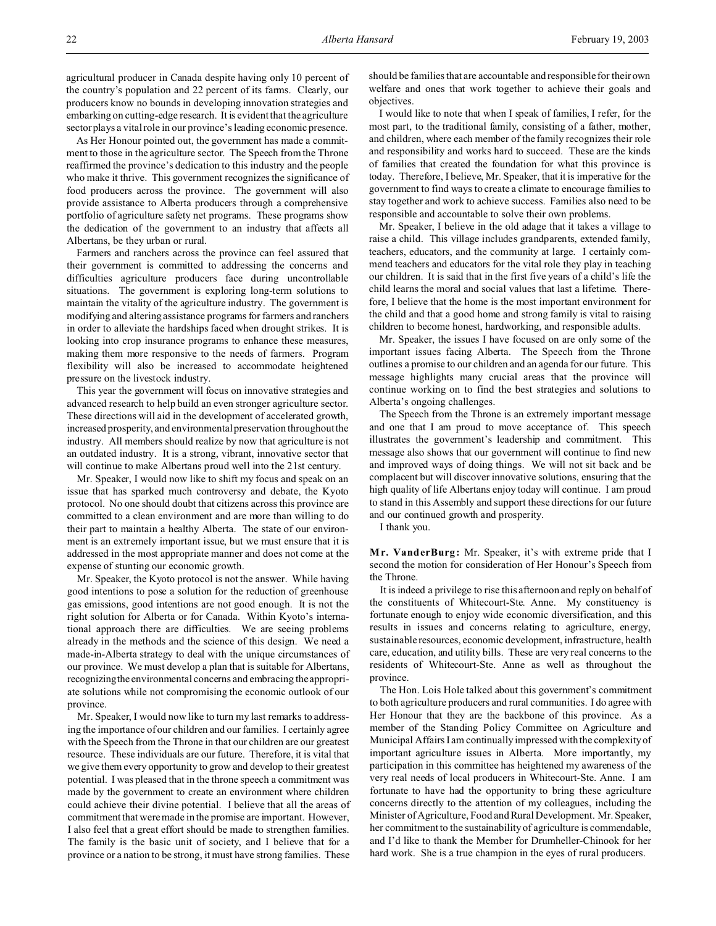agricultural producer in Canada despite having only 10 percent of the country's population and 22 percent of its farms. Clearly, our producers know no bounds in developing innovation strategies and embarking on cutting-edge research. It is evident that the agriculture sector plays a vital role in our province's leading economic presence.

As Her Honour pointed out, the government has made a commitment to those in the agriculture sector. The Speech from the Throne reaffirmed the province's dedication to this industry and the people who make it thrive. This government recognizes the significance of food producers across the province. The government will also provide assistance to Alberta producers through a comprehensive portfolio of agriculture safety net programs. These programs show the dedication of the government to an industry that affects all Albertans, be they urban or rural.

Farmers and ranchers across the province can feel assured that their government is committed to addressing the concerns and difficulties agriculture producers face during uncontrollable situations. The government is exploring long-term solutions to maintain the vitality of the agriculture industry. The government is modifying and altering assistance programs for farmers and ranchers in order to alleviate the hardships faced when drought strikes. It is looking into crop insurance programs to enhance these measures, making them more responsive to the needs of farmers. Program flexibility will also be increased to accommodate heightened pressure on the livestock industry.

This year the government will focus on innovative strategies and advanced research to help build an even stronger agriculture sector. These directions will aid in the development of accelerated growth, increased prosperity, and environmental preservation throughout the industry. All members should realize by now that agriculture is not an outdated industry. It is a strong, vibrant, innovative sector that will continue to make Albertans proud well into the 21st century.

Mr. Speaker, I would now like to shift my focus and speak on an issue that has sparked much controversy and debate, the Kyoto protocol. No one should doubt that citizens across this province are committed to a clean environment and are more than willing to do their part to maintain a healthy Alberta. The state of our environment is an extremely important issue, but we must ensure that it is addressed in the most appropriate manner and does not come at the expense of stunting our economic growth.

Mr. Speaker, the Kyoto protocol is not the answer. While having good intentions to pose a solution for the reduction of greenhouse gas emissions, good intentions are not good enough. It is not the right solution for Alberta or for Canada. Within Kyoto's international approach there are difficulties. We are seeing problems already in the methods and the science of this design. We need a made-in-Alberta strategy to deal with the unique circumstances of our province. We must develop a plan that is suitable for Albertans, recognizingthe environmental concerns and embracing the appropriate solutions while not compromising the economic outlook of our province.

Mr. Speaker, I would now like to turn my last remarks to addressing the importance of our children and our families. I certainly agree with the Speech from the Throne in that our children are our greatest resource. These individuals are our future. Therefore, it is vital that we give them every opportunity to grow and develop to their greatest potential. I was pleased that in the throne speech a commitment was made by the government to create an environment where children could achieve their divine potential. I believe that all the areas of commitment that were made in the promise are important. However, I also feel that a great effort should be made to strengthen families. The family is the basic unit of society, and I believe that for a province or a nation to be strong, it must have strong families. These

should be families that are accountable and responsible for their own welfare and ones that work together to achieve their goals and objectives.

I would like to note that when I speak of families, I refer, for the most part, to the traditional family, consisting of a father, mother, and children, where each member of the family recognizes their role and responsibility and works hard to succeed. These are the kinds of families that created the foundation for what this province is today. Therefore, I believe, Mr. Speaker, that it is imperative for the government to find ways to create a climate to encourage families to stay together and work to achieve success. Families also need to be responsible and accountable to solve their own problems.

Mr. Speaker, I believe in the old adage that it takes a village to raise a child. This village includes grandparents, extended family, teachers, educators, and the community at large. I certainly commend teachers and educators for the vital role they play in teaching our children. It is said that in the first five years of a child's life the child learns the moral and social values that last a lifetime. Therefore, I believe that the home is the most important environment for the child and that a good home and strong family is vital to raising children to become honest, hardworking, and responsible adults.

Mr. Speaker, the issues I have focused on are only some of the important issues facing Alberta. The Speech from the Throne outlines a promise to our children and an agenda for our future. This message highlights many crucial areas that the province will continue working on to find the best strategies and solutions to Alberta's ongoing challenges.

The Speech from the Throne is an extremely important message and one that I am proud to move acceptance of. This speech illustrates the government's leadership and commitment. This message also shows that our government will continue to find new and improved ways of doing things. We will not sit back and be complacent but will discover innovative solutions, ensuring that the high quality of life Albertans enjoy today will continue. I am proud to stand in this Assembly and support these directions for our future and our continued growth and prosperity.

I thank you.

**M r. VanderBurg:** Mr. Speaker, it's with extreme pride that I second the motion for consideration of Her Honour's Speech from the Throne.

It is indeed a privilege to rise this afternoon and reply on behalf of the constituents of Whitecourt-Ste. Anne. My constituency is fortunate enough to enjoy wide economic diversification, and this results in issues and concerns relating to agriculture, energy, sustainable resources, economic development, infrastructure, health care, education, and utility bills. These are very real concerns to the residents of Whitecourt-Ste. Anne as well as throughout the province.

The Hon. Lois Hole talked about this government's commitment to both agriculture producers and rural communities. I do agree with Her Honour that they are the backbone of this province. As a member of the Standing Policy Committee on Agriculture and Municipal Affairs I am continually impressed with the complexity of important agriculture issues in Alberta. More importantly, my participation in this committee has heightened my awareness of the very real needs of local producers in Whitecourt-Ste. Anne. I am fortunate to have had the opportunity to bring these agriculture concerns directly to the attention of my colleagues, including the Minister of Agriculture, Food and Rural Development. Mr. Speaker, her commitment to the sustainability of agriculture is commendable, and I'd like to thank the Member for Drumheller-Chinook for her hard work. She is a true champion in the eyes of rural producers.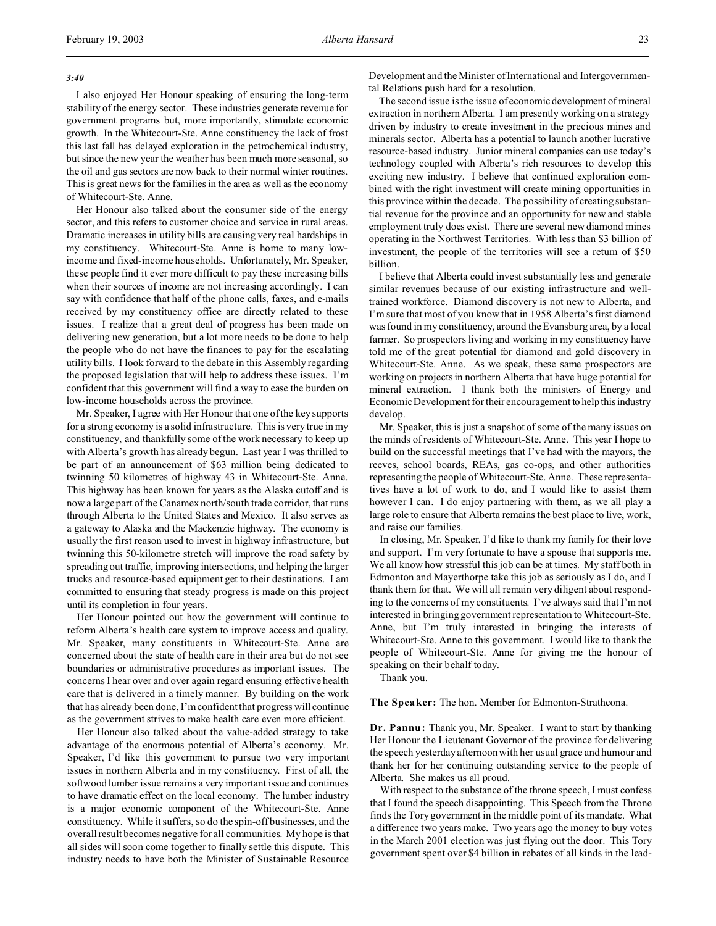#### *3:40*

I also enjoyed Her Honour speaking of ensuring the long-term stability of the energy sector. These industries generate revenue for government programs but, more importantly, stimulate economic growth. In the Whitecourt-Ste. Anne constituency the lack of frost this last fall has delayed exploration in the petrochemical industry, but since the new year the weather has been much more seasonal, so the oil and gas sectors are now back to their normal winter routines. This is great news for the families in the area as well as the economy of Whitecourt-Ste. Anne.

Her Honour also talked about the consumer side of the energy sector, and this refers to customer choice and service in rural areas. Dramatic increases in utility bills are causing very real hardships in my constituency. Whitecourt-Ste. Anne is home to many lowincome and fixed-income households. Unfortunately, Mr. Speaker, these people find it ever more difficult to pay these increasing bills when their sources of income are not increasing accordingly. I can say with confidence that half of the phone calls, faxes, and e-mails received by my constituency office are directly related to these issues. I realize that a great deal of progress has been made on delivering new generation, but a lot more needs to be done to help the people who do not have the finances to pay for the escalating utility bills. I look forward to the debate in this Assembly regarding the proposed legislation that will help to address these issues. I'm confident that this government will find a way to ease the burden on low-income households across the province.

Mr. Speaker, I agree with Her Honour that one of the key supports for a strong economy is a solid infrastructure. This is very true in my constituency, and thankfully some of the work necessary to keep up with Alberta's growth has already begun. Last year I was thrilled to be part of an announcement of \$63 million being dedicated to twinning 50 kilometres of highway 43 in Whitecourt-Ste. Anne. This highway has been known for years as the Alaska cutoff and is now a large part of the Canamex north/south trade corridor, that runs through Alberta to the United States and Mexico. It also serves as a gateway to Alaska and the Mackenzie highway. The economy is usually the first reason used to invest in highway infrastructure, but twinning this 50-kilometre stretch will improve the road safety by spreading out traffic, improving intersections, and helping the larger trucks and resource-based equipment get to their destinations. I am committed to ensuring that steady progress is made on this project until its completion in four years.

Her Honour pointed out how the government will continue to reform Alberta's health care system to improve access and quality. Mr. Speaker, many constituents in Whitecourt-Ste. Anne are concerned about the state of health care in their area but do not see boundaries or administrative procedures as important issues. The concerns I hear over and over again regard ensuring effective health care that is delivered in a timely manner. By building on the work that has already been done, I'm confident that progress will continue as the government strives to make health care even more efficient.

Her Honour also talked about the value-added strategy to take advantage of the enormous potential of Alberta's economy. Mr. Speaker, I'd like this government to pursue two very important issues in northern Alberta and in my constituency. First of all, the softwood lumber issue remains a very important issue and continues to have dramatic effect on the local economy. The lumber industry is a major economic component of the Whitecourt-Ste. Anne constituency. While it suffers, so do the spin-off businesses, and the overall result becomes negative for all communities. My hope is that all sides will soon come together to finally settle this dispute. This industry needs to have both the Minister of Sustainable Resource

Development and the Minister of International and Intergovernmental Relations push hard for a resolution.

The second issue is the issue of economic development of mineral extraction in northern Alberta. I am presently working on a strategy driven by industry to create investment in the precious mines and minerals sector. Alberta has a potential to launch another lucrative resource-based industry. Junior mineral companies can use today's technology coupled with Alberta's rich resources to develop this exciting new industry. I believe that continued exploration combined with the right investment will create mining opportunities in this province within the decade. The possibility of creating substantial revenue for the province and an opportunity for new and stable employment truly does exist. There are several new diamond mines operating in the Northwest Territories. With less than \$3 billion of investment, the people of the territories will see a return of \$50 billion.

I believe that Alberta could invest substantially less and generate similar revenues because of our existing infrastructure and welltrained workforce. Diamond discovery is not new to Alberta, and I'm sure that most of you know that in 1958 Alberta's first diamond was found in my constituency, around the Evansburg area, by a local farmer. So prospectors living and working in my constituency have told me of the great potential for diamond and gold discovery in Whitecourt-Ste. Anne. As we speak, these same prospectors are working on projects in northern Alberta that have huge potential for mineral extraction. I thank both the ministers of Energy and Economic Development for their encouragement to help this industry develop.

Mr. Speaker, this is just a snapshot of some of the many issues on the minds of residents of Whitecourt-Ste. Anne. This year I hope to build on the successful meetings that I've had with the mayors, the reeves, school boards, REAs, gas co-ops, and other authorities representing the people of Whitecourt-Ste. Anne. These representatives have a lot of work to do, and I would like to assist them however I can. I do enjoy partnering with them, as we all play a large role to ensure that Alberta remains the best place to live, work, and raise our families.

In closing, Mr. Speaker, I'd like to thank my family for their love and support. I'm very fortunate to have a spouse that supports me. We all know how stressful this job can be at times. My staff both in Edmonton and Mayerthorpe take this job as seriously as I do, and I thank them for that. We will all remain very diligent about responding to the concerns of my constituents. I've always said that I'm not interested in bringing government representation to Whitecourt-Ste. Anne, but I'm truly interested in bringing the interests of Whitecourt-Ste. Anne to this government. I would like to thank the people of Whitecourt-Ste. Anne for giving me the honour of speaking on their behalf today.

Thank you.

**The Speaker:** The hon. Member for Edmonton-Strathcona.

**Dr. Pannu:** Thank you, Mr. Speaker. I want to start by thanking Her Honour the Lieutenant Governor of the province for delivering the speech yesterday afternoon with her usual grace and humour and thank her for her continuing outstanding service to the people of Alberta. She makes us all proud.

With respect to the substance of the throne speech, I must confess that I found the speech disappointing. This Speech from the Throne finds the Tory government in the middle point of its mandate. What a difference two years make. Two years ago the money to buy votes in the March 2001 election was just flying out the door. This Tory government spent over \$4 billion in rebates of all kinds in the lead-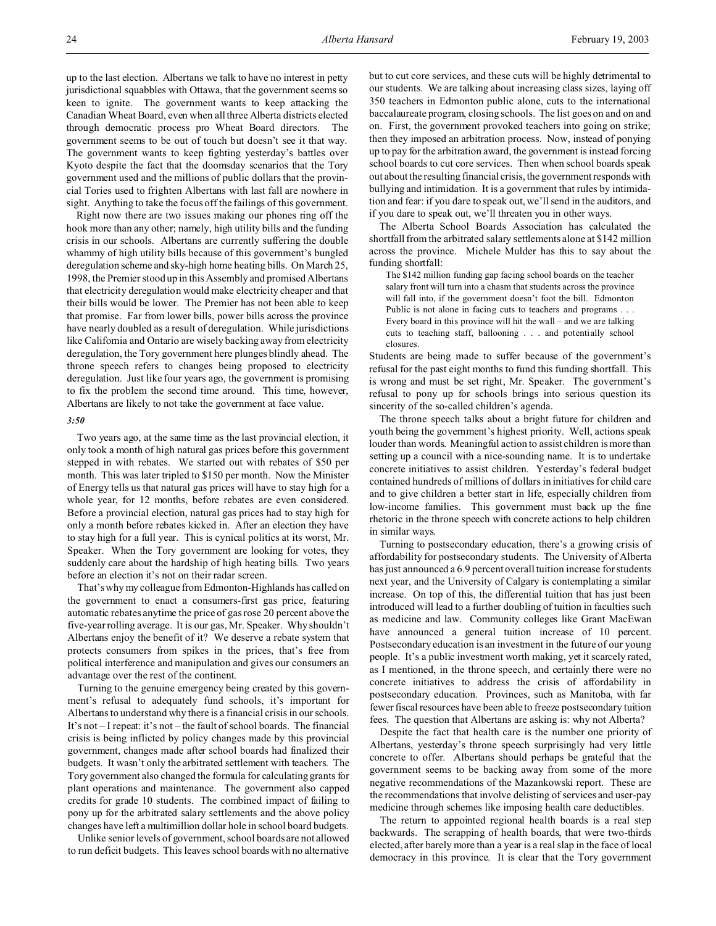up to the last election. Albertans we talk to have no interest in petty jurisdictional squabbles with Ottawa, that the government seems so keen to ignite. The government wants to keep attacking the Canadian Wheat Board, even when all three Alberta districts elected through democratic process pro Wheat Board directors. The government seems to be out of touch but doesn't see it that way. The government wants to keep fighting yesterday's battles over Kyoto despite the fact that the doomsday scenarios that the Tory government used and the millions of public dollars that the provincial Tories used to frighten Albertans with last fall are nowhere in sight. Anything to take the focus off the failings of this government.

Right now there are two issues making our phones ring off the hook more than any other; namely, high utility bills and the funding crisis in our schools. Albertans are currently suffering the double whammy of high utility bills because of this government's bungled deregulation scheme and sky-high home heating bills. On March 25, 1998, the Premier stood up in this Assembly and promised Albertans that electricity deregulation would make electricity cheaper and that their bills would be lower. The Premier has not been able to keep that promise. Far from lower bills, power bills across the province have nearly doubled as a result of deregulation. While jurisdictions like California and Ontario are wisely backing away from electricity deregulation, the Tory government here plunges blindly ahead. The throne speech refers to changes being proposed to electricity deregulation. Just like four years ago, the government is promising to fix the problem the second time around. This time, however, Albertans are likely to not take the government at face value.

#### *3:50*

Two years ago, at the same time as the last provincial election, it only took a month of high natural gas prices before this government stepped in with rebates. We started out with rebates of \$50 per month. This was later tripled to \$150 per month. Now the Minister of Energy tells us that natural gas prices will have to stay high for a whole year, for 12 months, before rebates are even considered. Before a provincial election, natural gas prices had to stay high for only a month before rebates kicked in. After an election they have to stay high for a full year. This is cynical politics at its worst, Mr. Speaker. When the Tory government are looking for votes, they suddenly care about the hardship of high heating bills. Two years before an election it's not on their radar screen.

That's why my colleague from Edmonton-Highlands has called on the government to enact a consumers-first gas price, featuring automatic rebates anytime the price of gas rose 20 percent above the five-year rolling average. It is our gas, Mr. Speaker. Why shouldn't Albertans enjoy the benefit of it? We deserve a rebate system that protects consumers from spikes in the prices, that's free from political interference and manipulation and gives our consumers an advantage over the rest of the continent.

Turning to the genuine emergency being created by this government's refusal to adequately fund schools, it's important for Albertans to understand why there is a financial crisis in our schools. It's not – I repeat: it's not – the fault of school boards. The financial crisis is being inflicted by policy changes made by this provincial government, changes made after school boards had finalized their budgets. It wasn't only the arbitrated settlement with teachers. The Tory government also changed the formula for calculating grants for plant operations and maintenance. The government also capped credits for grade 10 students. The combined impact of failing to pony up for the arbitrated salary settlements and the above policy changes have left a multimillion dollar hole in school board budgets.

Unlike senior levels of government, school boards are not allowed to run deficit budgets. This leaves school boards with no alternative but to cut core services, and these cuts will be highly detrimental to our students. We are talking about increasing class sizes, laying off 350 teachers in Edmonton public alone, cuts to the international baccalaureate program, closing schools. The list goes on and on and on. First, the government provoked teachers into going on strike; then they imposed an arbitration process. Now, instead of ponying up to pay for the arbitration award, the government is instead forcing school boards to cut core services. Then when school boards speak out about the resulting financial crisis, the government responds with bullying and intimidation. It is a government that rules by intimidation and fear: if you dare to speak out, we'll send in the auditors, and if you dare to speak out, we'll threaten you in other ways.

The Alberta School Boards Association has calculated the shortfall from the arbitrated salary settlements alone at \$142 million across the province. Michele Mulder has this to say about the funding shortfall:

The \$142 million funding gap facing school boards on the teacher salary front will turn into a chasm that students across the province will fall into, if the government doesn't foot the bill. Edmonton Public is not alone in facing cuts to teachers and programs . . . Every board in this province will hit the wall – and we are talking cuts to teaching staff, ballooning . . . and potentially school closures.

Students are being made to suffer because of the government's refusal for the past eight months to fund this funding shortfall. This is wrong and must be set right, Mr. Speaker. The government's refusal to pony up for schools brings into serious question its sincerity of the so-called children's agenda.

The throne speech talks about a bright future for children and youth being the government's highest priority. Well, actions speak louder than words. Meaningful action to assist children is more than setting up a council with a nice-sounding name. It is to undertake concrete initiatives to assist children. Yesterday's federal budget contained hundreds of millions of dollars in initiatives for child care and to give children a better start in life, especially children from low-income families. This government must back up the fine rhetoric in the throne speech with concrete actions to help children in similar ways.

Turning to postsecondary education, there's a growing crisis of affordability for postsecondary students. The University of Alberta has just announced a 6.9 percent overall tuition increase for students next year, and the University of Calgary is contemplating a similar increase. On top of this, the differential tuition that has just been introduced will lead to a further doubling of tuition in faculties such as medicine and law. Community colleges like Grant MacEwan have announced a general tuition increase of 10 percent. Postsecondary education is an investment in the future of our young people. It's a public investment worth making, yet it scarcely rated, as I mentioned, in the throne speech, and certainly there were no concrete initiatives to address the crisis of affordability in postsecondary education. Provinces, such as Manitoba, with far fewer fiscal resources have been able to freeze postsecondary tuition fees. The question that Albertans are asking is: why not Alberta?

Despite the fact that health care is the number one priority of Albertans, yesterday's throne speech surprisingly had very little concrete to offer. Albertans should perhaps be grateful that the government seems to be backing away from some of the more negative recommendations of the Mazankowski report. These are the recommendations that involve delisting of services and user-pay medicine through schemes like imposing health care deductibles.

The return to appointed regional health boards is a real step backwards. The scrapping of health boards, that were two-thirds elected, after barely more than a year is a real slap in the face of local democracy in this province. It is clear that the Tory government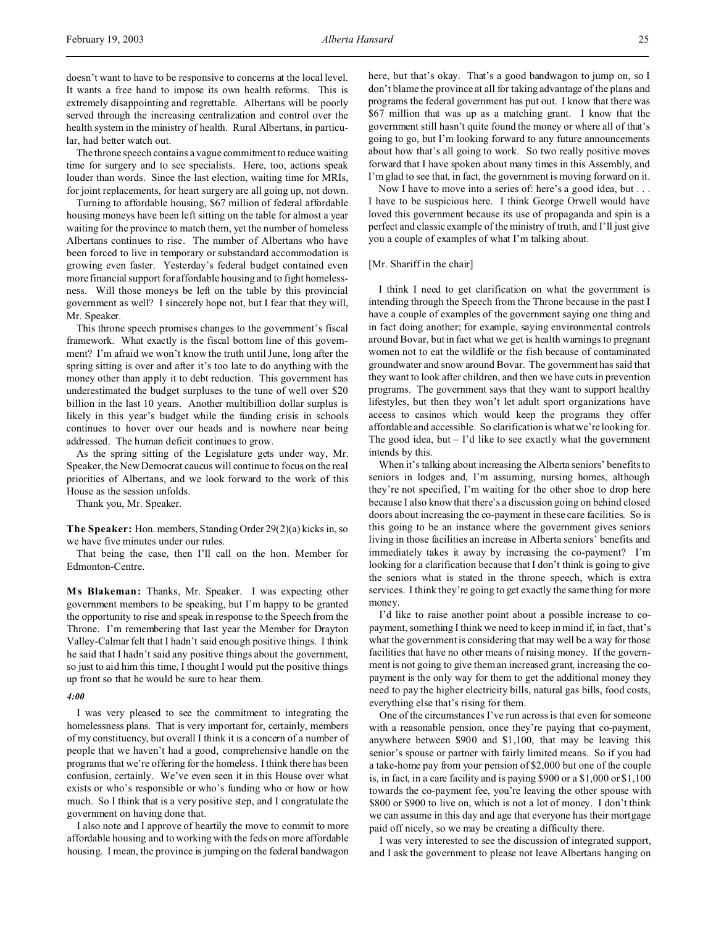The throne speech contains a vague commitment to reduce waiting time for surgery and to see specialists. Here, too, actions speak louder than words. Since the last election, waiting time for MRIs, for joint replacements, for heart surgery are all going up, not down.

Turning to affordable housing, \$67 million of federal affordable housing moneys have been left sitting on the table for almost a year waiting for the province to match them, yet the number of homeless Albertans continues to rise. The number of Albertans who have been forced to live in temporary or substandard accommodation is growing even faster. Yesterday's federal budget contained even more financial support for affordable housing and to fight homelessness. Will those moneys be left on the table by this provincial government as well? I sincerely hope not, but I fear that they will, Mr. Speaker.

This throne speech promises changes to the government's fiscal framework. What exactly is the fiscal bottom line of this government? I'm afraid we won't know the truth until June, long after the spring sitting is over and after it's too late to do anything with the money other than apply it to debt reduction. This government has underestimated the budget surpluses to the tune of well over \$20 billion in the last 10 years. Another multibillion dollar surplus is likely in this year's budget while the funding crisis in schools continues to hover over our heads and is nowhere near being addressed. The human deficit continues to grow.

As the spring sitting of the Legislature gets under way, Mr. Speaker, the New Democrat caucus will continue to focus on the real priorities of Albertans, and we look forward to the work of this House as the session unfolds.

Thank you, Mr. Speaker.

**The Speaker:** Hon. members, Standing Order 29(2)(a) kicks in, so we have five minutes under our rules.

That being the case, then I'll call on the hon. Member for Edmonton-Centre.

**M s Blakeman:** Thanks, Mr. Speaker. I was expecting other government members to be speaking, but I'm happy to be granted the opportunity to rise and speak in response to the Speech from the Throne. I'm remembering that last year the Member for Drayton Valley-Calmar felt that I hadn't said enough positive things. I think he said that I hadn't said any positive things about the government, so just to aid him this time, I thought I would put the positive things up front so that he would be sure to hear them.

### *4:00*

I was very pleased to see the commitment to integrating the homelessness plans. That is very important for, certainly, members of my constituency, but overall I think it is a concern of a number of people that we haven't had a good, comprehensive handle on the programs that we're offering for the homeless. I think there has been confusion, certainly. We've even seen it in this House over what exists or who's responsible or who's funding who or how or how much. So I think that is a very positive step, and I congratulate the government on having done that.

I also note and I approve of heartily the move to commit to more affordable housing and to working with the feds on more affordable housing. I mean, the province is jumping on the federal bandwagon here, but that's okay. That's a good bandwagon to jump on, so I don't blame the province at all for taking advantage of the plans and programs the federal government has put out. I know that there was \$67 million that was up as a matching grant. I know that the government still hasn't quite found the money or where all of that's going to go, but I'm looking forward to any future announcements about how that's all going to work. So two really positive moves forward that I have spoken about many times in this Assembly, and I'm glad to see that, in fact, the government is moving forward on it.

Now I have to move into a series of: here's a good idea, but . . . I have to be suspicious here. I think George Orwell would have loved this government because its use of propaganda and spin is a perfect and classic example of the ministry of truth, and I'll just give you a couple of examples of what I'm talking about.

#### [Mr. Shariff in the chair]

I think I need to get clarification on what the government is intending through the Speech from the Throne because in the past I have a couple of examples of the government saying one thing and in fact doing another; for example, saying environmental controls around Bovar, but in fact what we get is health warnings to pregnant women not to eat the wildlife or the fish because of contaminated groundwater and snow around Bovar. The government has said that they want to look after children, and then we have cuts in prevention programs. The government says that they want to support healthy lifestyles, but then they won't let adult sport organizations have access to casinos which would keep the programs they offer affordable and accessible. So clarification is what we're looking for. The good idea, but  $-$  I'd like to see exactly what the government intends by this.

When it's talking about increasing the Alberta seniors' benefits to seniors in lodges and, I'm assuming, nursing homes, although they're not specified, I'm waiting for the other shoe to drop here because I also know that there's a discussion going on behind closed doors about increasing the co-payment in these care facilities. So is this going to be an instance where the government gives seniors living in those facilities an increase in Alberta seniors' benefits and immediately takes it away by increasing the co-payment? I'm looking for a clarification because that I don't think is going to give the seniors what is stated in the throne speech, which is extra services. I think they're going to get exactly the same thing for more money.

I'd like to raise another point about a possible increase to copayment, something I think we need to keep in mind if, in fact, that's what the government is considering that may well be a way for those facilities that have no other means of raising money. If the government is not going to give them an increased grant, increasing the copayment is the only way for them to get the additional money they need to pay the higher electricity bills, natural gas bills, food costs, everything else that's rising for them.

One of the circumstances I've run across is that even for someone with a reasonable pension, once they're paying that co-payment, anywhere between \$900 and \$1,100, that may be leaving this senior's spouse or partner with fairly limited means. So if you had a take-home pay from your pension of \$2,000 but one of the couple is, in fact, in a care facility and is paying \$900 or a \$1,000 or \$1,100 towards the co-payment fee, you're leaving the other spouse with \$800 or \$900 to live on, which is not a lot of money. I don't think we can assume in this day and age that everyone has their mortgage paid off nicely, so we may be creating a difficulty there.

I was very interested to see the discussion of integrated support, and I ask the government to please not leave Albertans hanging on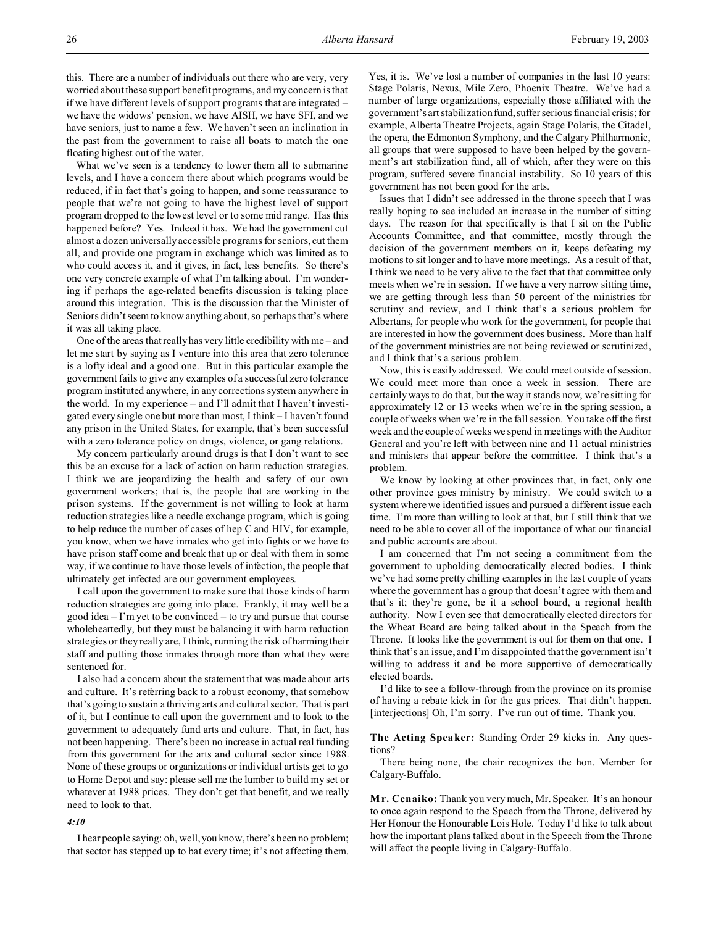this. There are a number of individuals out there who are very, very worried about these support benefit programs, and my concern is that if we have different levels of support programs that are integrated – we have the widows' pension, we have AISH, we have SFI, and we have seniors, just to name a few. We haven't seen an inclination in the past from the government to raise all boats to match the one floating highest out of the water.

What we've seen is a tendency to lower them all to submarine levels, and I have a concern there about which programs would be reduced, if in fact that's going to happen, and some reassurance to people that we're not going to have the highest level of support program dropped to the lowest level or to some mid range. Has this happened before? Yes. Indeed it has. We had the government cut almost a dozen universally accessible programs for seniors, cut them all, and provide one program in exchange which was limited as to who could access it, and it gives, in fact, less benefits. So there's one very concrete example of what I'm talking about. I'm wondering if perhaps the age-related benefits discussion is taking place around this integration. This is the discussion that the Minister of Seniors didn't seem to know anything about, so perhaps that's where it was all taking place.

One of the areas that really has very little credibility with me – and let me start by saying as I venture into this area that zero tolerance is a lofty ideal and a good one. But in this particular example the government fails to give any examples of a successful zero tolerance program instituted anywhere, in any corrections system anywhere in the world. In my experience – and I'll admit that I haven't investigated every single one but more than most, I think – I haven't found any prison in the United States, for example, that's been successful with a zero tolerance policy on drugs, violence, or gang relations.

My concern particularly around drugs is that I don't want to see this be an excuse for a lack of action on harm reduction strategies. I think we are jeopardizing the health and safety of our own government workers; that is, the people that are working in the prison systems. If the government is not willing to look at harm reduction strategies like a needle exchange program, which is going to help reduce the number of cases of hep C and HIV, for example, you know, when we have inmates who get into fights or we have to have prison staff come and break that up or deal with them in some way, if we continue to have those levels of infection, the people that ultimately get infected are our government employees.

I call upon the government to make sure that those kinds of harm reduction strategies are going into place. Frankly, it may well be a good idea – I'm yet to be convinced – to try and pursue that course wholeheartedly, but they must be balancing it with harm reduction strategies or they really are, I think, running the risk of harming their staff and putting those inmates through more than what they were sentenced for.

I also had a concern about the statement that was made about arts and culture. It's referring back to a robust economy, that somehow that's going to sustain a thriving arts and cultural sector. That is part of it, but I continue to call upon the government and to look to the government to adequately fund arts and culture. That, in fact, has not been happening. There's been no increase in actual real funding from this government for the arts and cultural sector since 1988. None of these groups or organizations or individual artists get to go to Home Depot and say: please sell me the lumber to build my set or whatever at 1988 prices. They don't get that benefit, and we really need to look to that.

### *4:10*

I hear people saying: oh, well, you know, there's been no problem; that sector has stepped up to bat every time; it's not affecting them.

Yes, it is. We've lost a number of companies in the last 10 years: Stage Polaris, Nexus, Mile Zero, Phoenix Theatre. We've had a number of large organizations, especially those affiliated with the government's art stabilization fund,suffer serious financial crisis; for example, Alberta Theatre Projects, again Stage Polaris, the Citadel, the opera, the Edmonton Symphony, and the Calgary Philharmonic, all groups that were supposed to have been helped by the government's art stabilization fund, all of which, after they were on this program, suffered severe financial instability. So 10 years of this government has not been good for the arts.

Issues that I didn't see addressed in the throne speech that I was really hoping to see included an increase in the number of sitting days. The reason for that specifically is that I sit on the Public Accounts Committee, and that committee, mostly through the decision of the government members on it, keeps defeating my motions to sit longer and to have more meetings. As a result of that, I think we need to be very alive to the fact that that committee only meets when we're in session. If we have a very narrow sitting time, we are getting through less than 50 percent of the ministries for scrutiny and review, and I think that's a serious problem for Albertans, for people who work for the government, for people that are interested in how the government does business. More than half of the government ministries are not being reviewed or scrutinized, and I think that's a serious problem.

Now, this is easily addressed. We could meet outside of session. We could meet more than once a week in session. There are certainly ways to do that, but the way it stands now, we're sitting for approximately 12 or 13 weeks when we're in the spring session, a couple of weeks when we're in the fall session. You take off the first week and the couple of weeks we spend in meetings with the Auditor General and you're left with between nine and 11 actual ministries and ministers that appear before the committee. I think that's a problem.

We know by looking at other provinces that, in fact, only one other province goes ministry by ministry. We could switch to a system where we identified issues and pursued a different issue each time. I'm more than willing to look at that, but I still think that we need to be able to cover all of the importance of what our financial and public accounts are about.

I am concerned that I'm not seeing a commitment from the government to upholding democratically elected bodies. I think we've had some pretty chilling examples in the last couple of years where the government has a group that doesn't agree with them and that's it; they're gone, be it a school board, a regional health authority. Now I even see that democratically elected directors for the Wheat Board are being talked about in the Speech from the Throne. It looks like the government is out for them on that one. I think that's an issue, and I'm disappointed that the government isn't willing to address it and be more supportive of democratically elected boards.

I'd like to see a follow-through from the province on its promise of having a rebate kick in for the gas prices. That didn't happen. [interjections] Oh, I'm sorry. I've run out of time. Thank you.

**The Acting Speaker:** Standing Order 29 kicks in. Any questions?

There being none, the chair recognizes the hon. Member for Calgary-Buffalo.

**M r. Cenaiko:** Thank you very much, Mr. Speaker. It's an honour to once again respond to the Speech from the Throne, delivered by Her Honour the Honourable Lois Hole. Today I'd like to talk about how the important plans talked about in the Speech from the Throne will affect the people living in Calgary-Buffalo.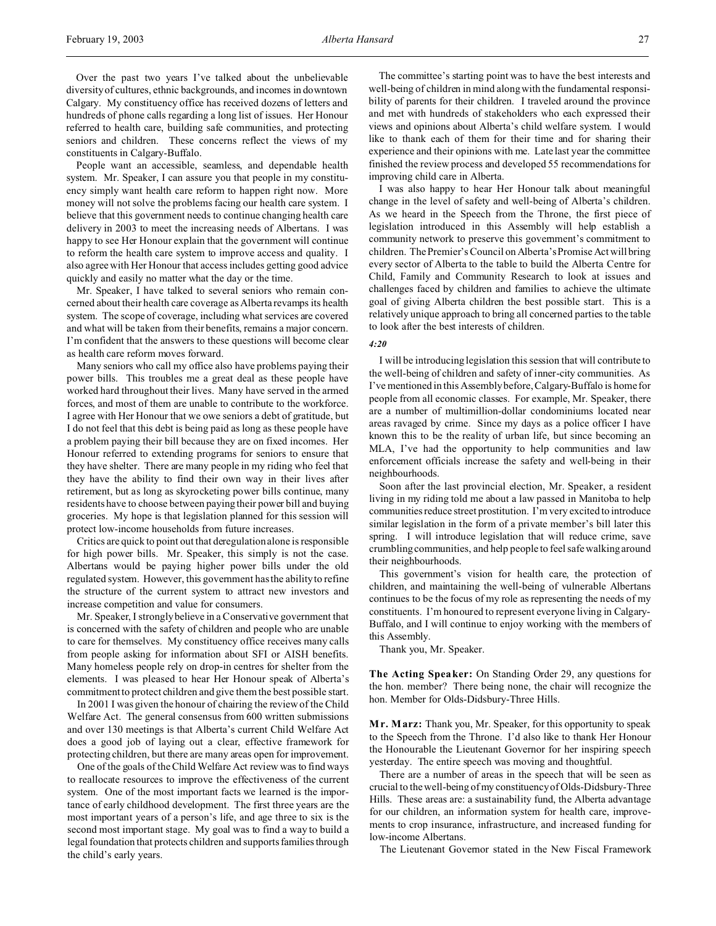Over the past two years I've talked about the unbelievable diversity of cultures, ethnic backgrounds, and incomes in downtown Calgary. My constituency office has received dozens of letters and hundreds of phone calls regarding a long list of issues. Her Honour referred to health care, building safe communities, and protecting seniors and children. These concerns reflect the views of my constituents in Calgary-Buffalo.

People want an accessible, seamless, and dependable health system. Mr. Speaker, I can assure you that people in my constituency simply want health care reform to happen right now. More money will not solve the problems facing our health care system. I believe that this government needs to continue changing health care delivery in 2003 to meet the increasing needs of Albertans. I was happy to see Her Honour explain that the government will continue to reform the health care system to improve access and quality. I also agree with Her Honour that access includes getting good advice quickly and easily no matter what the day or the time.

Mr. Speaker, I have talked to several seniors who remain concerned about their health care coverage as Alberta revamps its health system. The scope of coverage, including what services are covered and what will be taken from their benefits, remains a major concern. I'm confident that the answers to these questions will become clear as health care reform moves forward.

Many seniors who call my office also have problems paying their power bills. This troubles me a great deal as these people have worked hard throughout their lives. Many have served in the armed forces, and most of them are unable to contribute to the workforce. I agree with Her Honour that we owe seniors a debt of gratitude, but I do not feel that this debt is being paid as long as these people have a problem paying their bill because they are on fixed incomes. Her Honour referred to extending programs for seniors to ensure that they have shelter. There are many people in my riding who feel that they have the ability to find their own way in their lives after retirement, but as long as skyrocketing power bills continue, many residents have to choose between paying their power bill and buying groceries. My hope is that legislation planned for this session will protect low-income households from future increases.

Critics are quick to point out that deregulation alone is responsible for high power bills. Mr. Speaker, this simply is not the case. Albertans would be paying higher power bills under the old regulated system. However, this government has the ability to refine the structure of the current system to attract new investors and increase competition and value for consumers.

Mr. Speaker, I strongly believe in a Conservative government that is concerned with the safety of children and people who are unable to care for themselves. My constituency office receives many calls from people asking for information about SFI or AISH benefits. Many homeless people rely on drop-in centres for shelter from the elements. I was pleased to hear Her Honour speak of Alberta's commitment to protect children and give them the best possible start.

In 2001 I was given the honour of chairing the review of the Child Welfare Act. The general consensus from 600 written submissions and over 130 meetings is that Alberta's current Child Welfare Act does a good job of laying out a clear, effective framework for protecting children, but there are many areas open for improvement.

One of the goals of the Child Welfare Act review was to find ways to reallocate resources to improve the effectiveness of the current system. One of the most important facts we learned is the importance of early childhood development. The first three years are the most important years of a person's life, and age three to six is the second most important stage. My goal was to find a way to build a legal foundation that protects children and supports families through the child's early years.

The committee's starting point was to have the best interests and well-being of children in mind along with the fundamental responsibility of parents for their children. I traveled around the province and met with hundreds of stakeholders who each expressed their views and opinions about Alberta's child welfare system. I would like to thank each of them for their time and for sharing their experience and their opinions with me. Late last year the committee finished the review process and developed 55 recommendations for improving child care in Alberta.

I was also happy to hear Her Honour talk about meaningful change in the level of safety and well-being of Alberta's children. As we heard in the Speech from the Throne, the first piece of legislation introduced in this Assembly will help establish a community network to preserve this government's commitment to children. The Premier's Council on Alberta's Promise Act will bring every sector of Alberta to the table to build the Alberta Centre for Child, Family and Community Research to look at issues and challenges faced by children and families to achieve the ultimate goal of giving Alberta children the best possible start. This is a relatively unique approach to bring all concerned parties to the table to look after the best interests of children.

#### *4:20*

I will be introducing legislation this session that will contribute to the well-being of children and safety of inner-city communities. As I've mentioned in this Assembly before, Calgary-Buffalo is home for people from all economic classes. For example, Mr. Speaker, there are a number of multimillion-dollar condominiums located near areas ravaged by crime. Since my days as a police officer I have known this to be the reality of urban life, but since becoming an MLA, I've had the opportunity to help communities and law enforcement officials increase the safety and well-being in their neighbourhoods.

Soon after the last provincial election, Mr. Speaker, a resident living in my riding told me about a law passed in Manitoba to help communities reduce street prostitution. I'm very excited to introduce similar legislation in the form of a private member's bill later this spring. I will introduce legislation that will reduce crime, save crumbling communities, and help people to feel safe walking around their neighbourhoods.

This government's vision for health care, the protection of children, and maintaining the well-being of vulnerable Albertans continues to be the focus of my role as representing the needs of my constituents. I'm honoured to represent everyone living in Calgary-Buffalo, and I will continue to enjoy working with the members of this Assembly.

Thank you, Mr. Speaker.

**The Acting Speaker:** On Standing Order 29, any questions for the hon. member? There being none, the chair will recognize the hon. Member for Olds-Didsbury-Three Hills.

**M r. Marz:** Thank you, Mr. Speaker, for this opportunity to speak to the Speech from the Throne. I'd also like to thank Her Honour the Honourable the Lieutenant Governor for her inspiring speech yesterday. The entire speech was moving and thoughtful.

There are a number of areas in the speech that will be seen as crucial to the well-being of my constituency of Olds-Didsbury-Three Hills. These areas are: a sustainability fund, the Alberta advantage for our children, an information system for health care, improvements to crop insurance, infrastructure, and increased funding for low-income Albertans.

The Lieutenant Governor stated in the New Fiscal Framework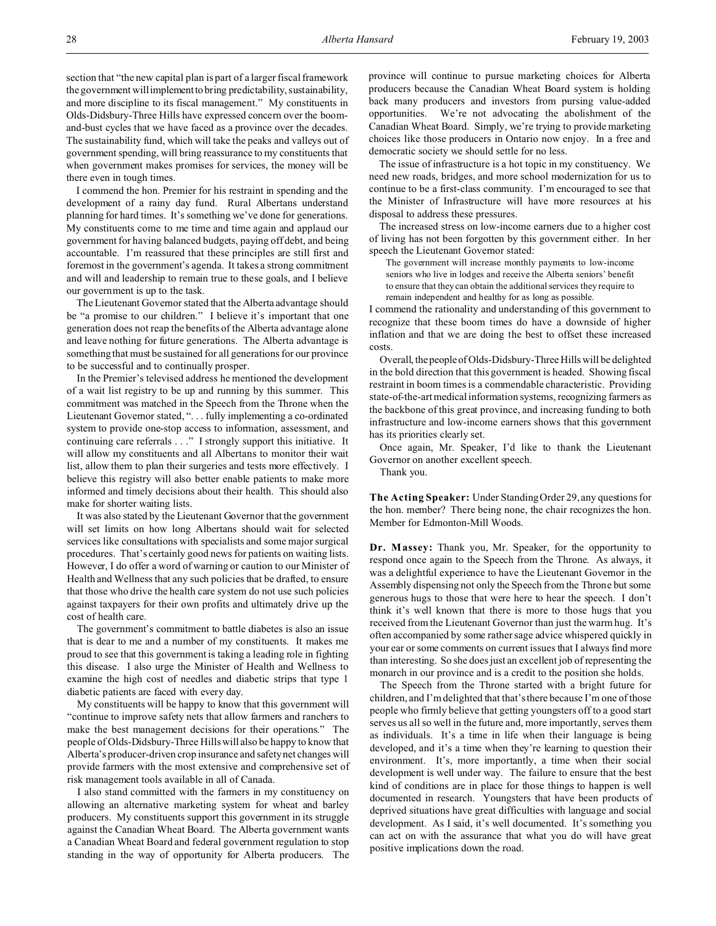I commend the hon. Premier for his restraint in spending and the development of a rainy day fund. Rural Albertans understand planning for hard times. It's something we've done for generations. My constituents come to me time and time again and applaud our government for having balanced budgets, paying off debt, and being accountable. I'm reassured that these principles are still first and foremost in the government's agenda. It takes a strong commitment and will and leadership to remain true to these goals, and I believe our government is up to the task.

The Lieutenant Governor stated that the Alberta advantage should be "a promise to our children." I believe it's important that one generation does not reap the benefits of the Alberta advantage alone and leave nothing for future generations. The Alberta advantage is something that must be sustained for all generations for our province to be successful and to continually prosper.

In the Premier's televised address he mentioned the development of a wait list registry to be up and running by this summer. This commitment was matched in the Speech from the Throne when the Lieutenant Governor stated, ". . . fully implementing a co-ordinated system to provide one-stop access to information, assessment, and continuing care referrals . . ." I strongly support this initiative. It will allow my constituents and all Albertans to monitor their wait list, allow them to plan their surgeries and tests more effectively. I believe this registry will also better enable patients to make more informed and timely decisions about their health. This should also make for shorter waiting lists.

It was also stated by the Lieutenant Governor that the government will set limits on how long Albertans should wait for selected services like consultations with specialists and some major surgical procedures. That's certainly good news for patients on waiting lists. However, I do offer a word of warning or caution to our Minister of Health and Wellness that any such policies that be drafted, to ensure that those who drive the health care system do not use such policies against taxpayers for their own profits and ultimately drive up the cost of health care.

The government's commitment to battle diabetes is also an issue that is dear to me and a number of my constituents. It makes me proud to see that this government is taking a leading role in fighting this disease. I also urge the Minister of Health and Wellness to examine the high cost of needles and diabetic strips that type 1 diabetic patients are faced with every day.

My constituents will be happy to know that this government will "continue to improve safety nets that allow farmers and ranchers to make the best management decisions for their operations." The people of Olds-Didsbury-Three Hills will also be happy to know that Alberta's producer-driven crop insurance and safety net changes will provide farmers with the most extensive and comprehensive set of risk management tools available in all of Canada.

I also stand committed with the farmers in my constituency on allowing an alternative marketing system for wheat and barley producers. My constituents support this government in its struggle against the Canadian Wheat Board. The Alberta government wants a Canadian Wheat Board and federal government regulation to stop standing in the way of opportunity for Alberta producers. The

province will continue to pursue marketing choices for Alberta producers because the Canadian Wheat Board system is holding back many producers and investors from pursing value-added opportunities. We're not advocating the abolishment of the Canadian Wheat Board. Simply, we're trying to provide marketing choices like those producers in Ontario now enjoy. In a free and democratic society we should settle for no less.

The issue of infrastructure is a hot topic in my constituency. We need new roads, bridges, and more school modernization for us to continue to be a first-class community. I'm encouraged to see that the Minister of Infrastructure will have more resources at his disposal to address these pressures.

The increased stress on low-income earners due to a higher cost of living has not been forgotten by this government either. In her speech the Lieutenant Governor stated:

The government will increase monthly payments to low-income seniors who live in lodges and receive the Alberta seniors' benefit to ensure that they can obtain the additional services they require to remain independent and healthy for as long as possible.

I commend the rationality and understanding of this government to recognize that these boom times do have a downside of higher inflation and that we are doing the best to offset these increased costs.

Overall, the people of Olds-Didsbury-Three Hills will be delighted in the bold direction that this government is headed. Showing fiscal restraint in boom times is a commendable characteristic. Providing state-of-the-art medical information systems, recognizing farmers as the backbone of this great province, and increasing funding to both infrastructure and low-income earners shows that this government has its priorities clearly set.

Once again, Mr. Speaker, I'd like to thank the Lieutenant Governor on another excellent speech.

Thank you.

**The Acting Speaker:** Under Standing Order 29, any questions for the hon. member? There being none, the chair recognizes the hon. Member for Edmonton-Mill Woods.

**Dr. Massey:** Thank you, Mr. Speaker, for the opportunity to respond once again to the Speech from the Throne. As always, it was a delightful experience to have the Lieutenant Governor in the Assembly dispensing not only the Speech from the Throne but some generous hugs to those that were here to hear the speech. I don't think it's well known that there is more to those hugs that you received from the Lieutenant Governor than just the warm hug. It's often accompanied by some rather sage advice whispered quickly in your ear or some comments on current issues that I always find more than interesting. So she does just an excellent job of representing the monarch in our province and is a credit to the position she holds.

The Speech from the Throne started with a bright future for children, and I'm delighted that that's there because I'm one of those people who firmly believe that getting youngsters off to a good start serves us all so well in the future and, more importantly, serves them as individuals. It's a time in life when their language is being developed, and it's a time when they're learning to question their environment. It's, more importantly, a time when their social development is well under way. The failure to ensure that the best kind of conditions are in place for those things to happen is well documented in research. Youngsters that have been products of deprived situations have great difficulties with language and social development. As I said, it's well documented. It's something you can act on with the assurance that what you do will have great positive implications down the road.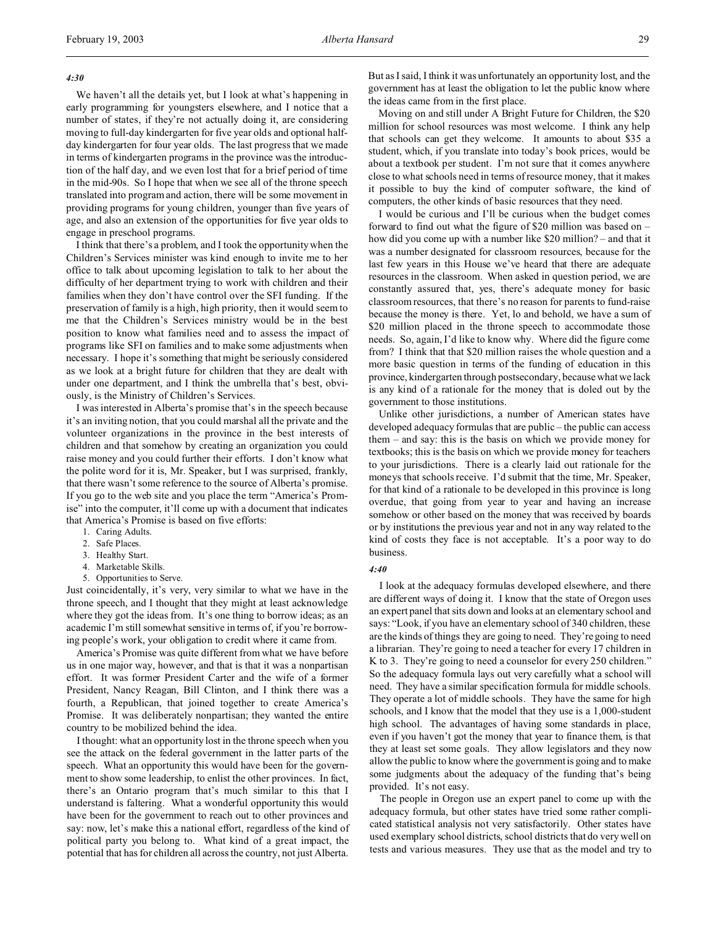### *4:30*

We haven't all the details yet, but I look at what's happening in early programming for youngsters elsewhere, and I notice that a number of states, if they're not actually doing it, are considering moving to full-day kindergarten for five year olds and optional halfday kindergarten for four year olds. The last progress that we made in terms of kindergarten programs in the province was the introduction of the half day, and we even lost that for a brief period of time in the mid-90s. So I hope that when we see all of the throne speech translated into program and action, there will be some movement in providing programs for young children, younger than five years of age, and also an extension of the opportunities for five year olds to engage in preschool programs.

I think that there's a problem, and I took the opportunity when the Children's Services minister was kind enough to invite me to her office to talk about upcoming legislation to talk to her about the difficulty of her department trying to work with children and their families when they don't have control over the SFI funding. If the preservation of family is a high, high priority, then it would seem to me that the Children's Services ministry would be in the best position to know what families need and to assess the impact of programs like SFI on families and to make some adjustments when necessary. I hope it's something that might be seriously considered as we look at a bright future for children that they are dealt with under one department, and I think the umbrella that's best, obviously, is the Ministry of Children's Services.

I was interested in Alberta's promise that's in the speech because it's an inviting notion, that you could marshal all the private and the volunteer organizations in the province in the best interests of children and that somehow by creating an organization you could raise money and you could further their efforts. I don't know what the polite word for it is, Mr. Speaker, but I was surprised, frankly, that there wasn't some reference to the source of Alberta's promise. If you go to the web site and you place the term "America's Promise" into the computer, it'll come up with a document that indicates that America's Promise is based on five efforts:

- 1. Caring Adults.
- 2. Safe Places.
- 3. Healthy Start.
- 4. Marketable Skills.
- 5. Opportunities to Serve.

Just coincidentally, it's very, very similar to what we have in the throne speech, and I thought that they might at least acknowledge where they got the ideas from. It's one thing to borrow ideas; as an academic I'm still somewhat sensitive in terms of, if you're borrowing people's work, your obligation to credit where it came from.

America's Promise was quite different from what we have before us in one major way, however, and that is that it was a nonpartisan effort. It was former President Carter and the wife of a former President, Nancy Reagan, Bill Clinton, and I think there was a fourth, a Republican, that joined together to create America's Promise. It was deliberately nonpartisan; they wanted the entire country to be mobilized behind the idea.

I thought: what an opportunity lost in the throne speech when you see the attack on the federal government in the latter parts of the speech. What an opportunity this would have been for the government to show some leadership, to enlist the other provinces. In fact, there's an Ontario program that's much similar to this that I understand is faltering. What a wonderful opportunity this would have been for the government to reach out to other provinces and say: now, let's make this a national effort, regardless of the kind of political party you belong to. What kind of a great impact, the potential that has for children all across the country, not just Alberta.

But as I said, I think it was unfortunately an opportunity lost, and the government has at least the obligation to let the public know where the ideas came from in the first place.

Moving on and still under A Bright Future for Children, the \$20 million for school resources was most welcome. I think any help that schools can get they welcome. It amounts to about \$35 a student, which, if you translate into today's book prices, would be about a textbook per student. I'm not sure that it comes anywhere close to what schools need in terms of resource money, that it makes it possible to buy the kind of computer software, the kind of computers, the other kinds of basic resources that they need.

I would be curious and I'll be curious when the budget comes forward to find out what the figure of \$20 million was based on – how did you come up with a number like \$20 million? – and that it was a number designated for classroom resources, because for the last few years in this House we've heard that there are adequate resources in the classroom. When asked in question period, we are constantly assured that, yes, there's adequate money for basic classroom resources, that there's no reason for parents to fund-raise because the money is there. Yet, lo and behold, we have a sum of \$20 million placed in the throne speech to accommodate those needs. So, again, I'd like to know why. Where did the figure come from? I think that that \$20 million raises the whole question and a more basic question in terms of the funding of education in this province, kindergarten through postsecondary, because what we lack is any kind of a rationale for the money that is doled out by the government to those institutions.

Unlike other jurisdictions, a number of American states have developed adequacy formulas that are public – the public can access them – and say: this is the basis on which we provide money for textbooks; this is the basis on which we provide money for teachers to your jurisdictions. There is a clearly laid out rationale for the moneys that schools receive. I'd submit that the time, Mr. Speaker, for that kind of a rationale to be developed in this province is long overdue, that going from year to year and having an increase somehow or other based on the money that was received by boards or by institutions the previous year and not in any way related to the kind of costs they face is not acceptable. It's a poor way to do business.

#### *4:40*

I look at the adequacy formulas developed elsewhere, and there are different ways of doing it. I know that the state of Oregon uses an expert panel that sits down and looks at an elementary school and says: "Look, if you have an elementary school of 340 children, these are the kinds of things they are going to need. They're going to need a librarian. They're going to need a teacher for every 17 children in K to 3. They're going to need a counselor for every 250 children." So the adequacy formula lays out very carefully what a school will need. They have a similar specification formula for middle schools. They operate a lot of middle schools. They have the same for high schools, and I know that the model that they use is a 1,000-student high school. The advantages of having some standards in place, even if you haven't got the money that year to finance them, is that they at least set some goals. They allow legislators and they now allow the public to know where the government is going and to make some judgments about the adequacy of the funding that's being provided. It's not easy.

The people in Oregon use an expert panel to come up with the adequacy formula, but other states have tried some rather complicated statistical analysis not very satisfactorily. Other states have used exemplary school districts, school districts that do very well on tests and various measures. They use that as the model and try to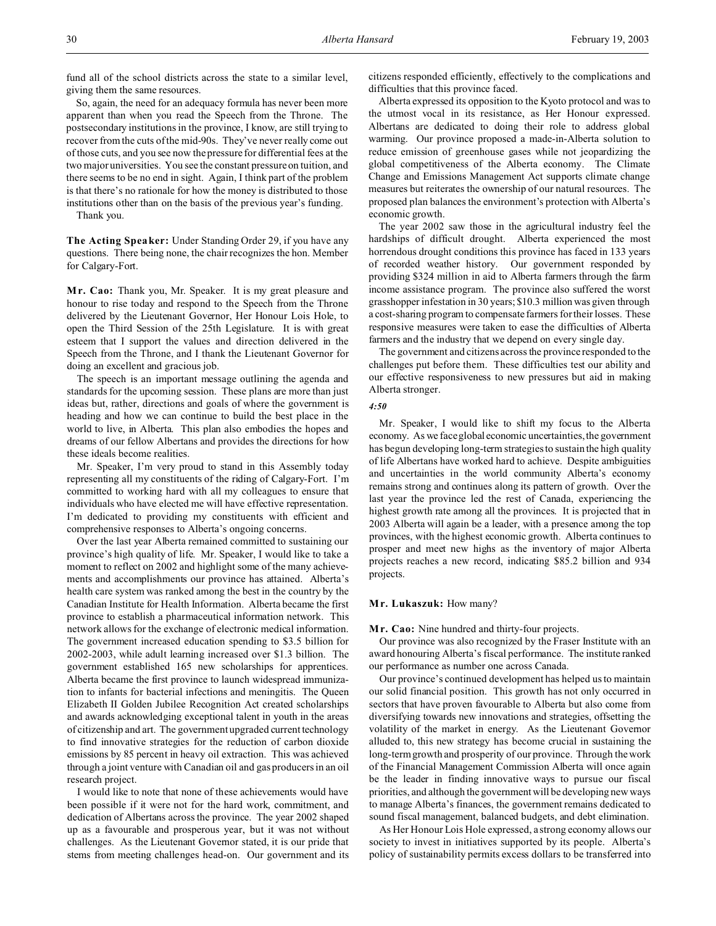fund all of the school districts across the state to a similar level, giving them the same resources.

So, again, the need for an adequacy formula has never been more apparent than when you read the Speech from the Throne. The postsecondary institutions in the province, I know, are still trying to recover from the cuts of the mid-90s. They've never really come out of those cuts, and you see now the pressure for differential fees at the two major universities. You see the constant pressure on tuition, and there seems to be no end in sight. Again, I think part of the problem is that there's no rationale for how the money is distributed to those institutions other than on the basis of the previous year's funding. Thank you.

**The Acting Speaker:** Under Standing Order 29, if you have any questions. There being none, the chair recognizes the hon. Member

**M r. Cao:** Thank you, Mr. Speaker. It is my great pleasure and honour to rise today and respond to the Speech from the Throne delivered by the Lieutenant Governor, Her Honour Lois Hole, to open the Third Session of the 25th Legislature. It is with great esteem that I support the values and direction delivered in the Speech from the Throne, and I thank the Lieutenant Governor for doing an excellent and gracious job.

The speech is an important message outlining the agenda and standards for the upcoming session. These plans are more than just ideas but, rather, directions and goals of where the government is heading and how we can continue to build the best place in the world to live, in Alberta. This plan also embodies the hopes and dreams of our fellow Albertans and provides the directions for how these ideals become realities.

Mr. Speaker, I'm very proud to stand in this Assembly today representing all my constituents of the riding of Calgary-Fort. I'm committed to working hard with all my colleagues to ensure that individuals who have elected me will have effective representation. I'm dedicated to providing my constituents with efficient and comprehensive responses to Alberta's ongoing concerns.

Over the last year Alberta remained committed to sustaining our province's high quality of life. Mr. Speaker, I would like to take a moment to reflect on 2002 and highlight some of the many achievements and accomplishments our province has attained. Alberta's health care system was ranked among the best in the country by the Canadian Institute for Health Information. Alberta became the first province to establish a pharmaceutical information network. This network allows for the exchange of electronic medical information. The government increased education spending to \$3.5 billion for 2002-2003, while adult learning increased over \$1.3 billion. The government established 165 new scholarships for apprentices. Alberta became the first province to launch widespread immunization to infants for bacterial infections and meningitis. The Queen Elizabeth II Golden Jubilee Recognition Act created scholarships and awards acknowledging exceptional talent in youth in the areas of citizenship and art. The government upgraded current technology to find innovative strategies for the reduction of carbon dioxide emissions by 85 percent in heavy oil extraction. This was achieved through a joint venture with Canadian oil and gas producers in an oil research project.

I would like to note that none of these achievements would have been possible if it were not for the hard work, commitment, and dedication of Albertans across the province. The year 2002 shaped up as a favourable and prosperous year, but it was not without challenges. As the Lieutenant Governor stated, it is our pride that stems from meeting challenges head-on. Our government and its citizens responded efficiently, effectively to the complications and difficulties that this province faced.

Alberta expressed its opposition to the Kyoto protocol and was to the utmost vocal in its resistance, as Her Honour expressed. Albertans are dedicated to doing their role to address global warming. Our province proposed a made-in-Alberta solution to reduce emission of greenhouse gases while not jeopardizing the global competitiveness of the Alberta economy. The Climate Change and Emissions Management Act supports climate change measures but reiterates the ownership of our natural resources. The proposed plan balances the environment's protection with Alberta's economic growth.

The year 2002 saw those in the agricultural industry feel the hardships of difficult drought. Alberta experienced the most horrendous drought conditions this province has faced in 133 years of recorded weather history. Our government responded by providing \$324 million in aid to Alberta farmers through the farm income assistance program. The province also suffered the worst grasshopper infestation in 30 years; \$10.3 million was given through a cost-sharing program to compensate farmers for their losses. These responsive measures were taken to ease the difficulties of Alberta farmers and the industry that we depend on every single day.

The government and citizens across the province responded to the challenges put before them. These difficulties test our ability and our effective responsiveness to new pressures but aid in making Alberta stronger.

#### *4:50*

Mr. Speaker, I would like to shift my focus to the Alberta economy. As we face global economic uncertainties, the government has begun developing long-term strategies to sustain the high quality of life Albertans have worked hard to achieve. Despite ambiguities and uncertainties in the world community Alberta's economy remains strong and continues along its pattern of growth. Over the last year the province led the rest of Canada, experiencing the highest growth rate among all the provinces. It is projected that in 2003 Alberta will again be a leader, with a presence among the top provinces, with the highest economic growth. Alberta continues to prosper and meet new highs as the inventory of major Alberta projects reaches a new record, indicating \$85.2 billion and 934 projects.

### **Mr. Lukaszuk:** How many?

**Mr. Cao:** Nine hundred and thirty-four projects.

Our province was also recognized by the Fraser Institute with an award honouring Alberta's fiscal performance. The institute ranked our performance as number one across Canada.

Our province's continued development has helped us to maintain our solid financial position. This growth has not only occurred in sectors that have proven favourable to Alberta but also come from diversifying towards new innovations and strategies, offsetting the volatility of the market in energy. As the Lieutenant Governor alluded to, this new strategy has become crucial in sustaining the long-term growth and prosperity of our province. Through the work of the Financial Management Commission Alberta will once again be the leader in finding innovative ways to pursue our fiscal priorities, and although the government will be developing new ways to manage Alberta's finances, the government remains dedicated to sound fiscal management, balanced budgets, and debt elimination.

As Her Honour Lois Hole expressed, a strong economy allows our society to invest in initiatives supported by its people. Alberta's policy of sustainability permits excess dollars to be transferred into

for Calgary-Fort.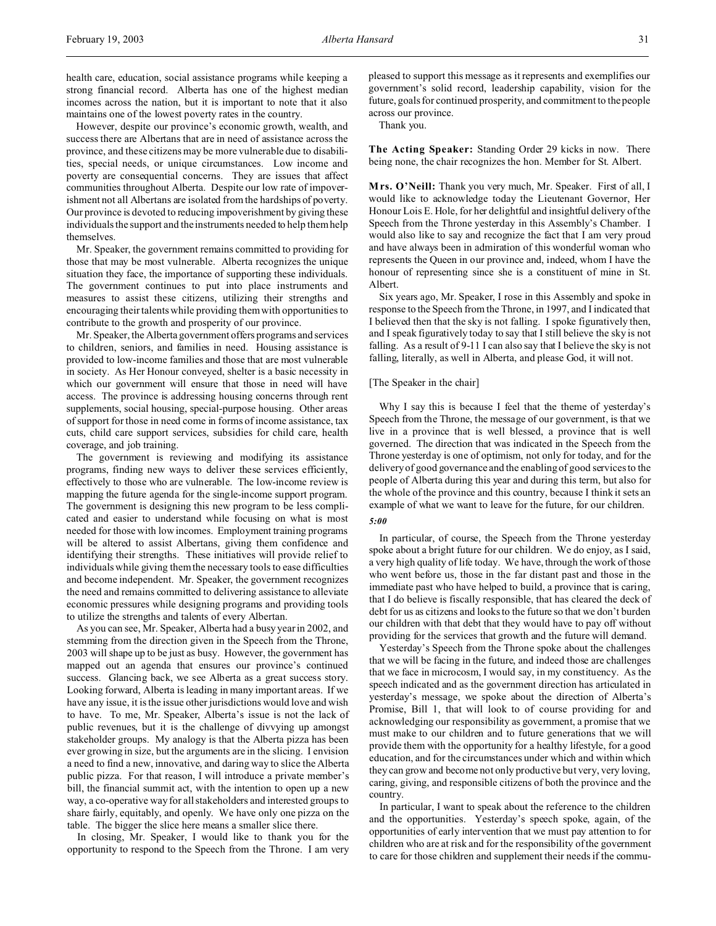However, despite our province's economic growth, wealth, and success there are Albertans that are in need of assistance across the province, and these citizens may be more vulnerable due to disabilities, special needs, or unique circumstances. Low income and poverty are consequential concerns. They are issues that affect communities throughout Alberta. Despite our low rate of impoverishment not all Albertans are isolated from the hardships of poverty. Our province is devoted to reducing impoverishment by giving these individuals the support and the instruments needed to help them help themselves.

Mr. Speaker, the government remains committed to providing for those that may be most vulnerable. Alberta recognizes the unique situation they face, the importance of supporting these individuals. The government continues to put into place instruments and measures to assist these citizens, utilizing their strengths and encouraging their talents while providing them with opportunities to contribute to the growth and prosperity of our province.

Mr. Speaker, the Alberta government offers programs and services to children, seniors, and families in need. Housing assistance is provided to low-income families and those that are most vulnerable in society. As Her Honour conveyed, shelter is a basic necessity in which our government will ensure that those in need will have access. The province is addressing housing concerns through rent supplements, social housing, special-purpose housing. Other areas of support for those in need come in forms of income assistance, tax cuts, child care support services, subsidies for child care, health coverage, and job training.

The government is reviewing and modifying its assistance programs, finding new ways to deliver these services efficiently, effectively to those who are vulnerable. The low-income review is mapping the future agenda for the single-income support program. The government is designing this new program to be less complicated and easier to understand while focusing on what is most needed for those with low incomes. Employment training programs will be altered to assist Albertans, giving them confidence and identifying their strengths. These initiatives will provide relief to individuals while giving them the necessary tools to ease difficulties and become independent. Mr. Speaker, the government recognizes the need and remains committed to delivering assistance to alleviate economic pressures while designing programs and providing tools to utilize the strengths and talents of every Albertan.

As you can see, Mr. Speaker, Alberta had a busy year in 2002, and stemming from the direction given in the Speech from the Throne, 2003 will shape up to be just as busy. However, the government has mapped out an agenda that ensures our province's continued success. Glancing back, we see Alberta as a great success story. Looking forward, Alberta is leading in many important areas. If we have any issue, it is the issue other jurisdictions would love and wish to have. To me, Mr. Speaker, Alberta's issue is not the lack of public revenues, but it is the challenge of divvying up amongst stakeholder groups. My analogy is that the Alberta pizza has been ever growing in size, but the arguments are in the slicing. I envision a need to find a new, innovative, and daring way to slice the Alberta public pizza. For that reason, I will introduce a private member's bill, the financial summit act, with the intention to open up a new way, a co-operative way for all stakeholders and interested groups to share fairly, equitably, and openly. We have only one pizza on the table. The bigger the slice here means a smaller slice there.

In closing, Mr. Speaker, I would like to thank you for the opportunity to respond to the Speech from the Throne. I am very pleased to support this message as it represents and exemplifies our government's solid record, leadership capability, vision for the future, goals for continued prosperity, and commitment to the people across our province.

Thank you.

**The Acting Speaker:** Standing Order 29 kicks in now. There being none, the chair recognizes the hon. Member for St. Albert.

**Mrs. O'Neill:** Thank you very much, Mr. Speaker. First of all, I would like to acknowledge today the Lieutenant Governor, Her Honour Lois E. Hole, for her delightful and insightful delivery of the Speech from the Throne yesterday in this Assembly's Chamber. I would also like to say and recognize the fact that I am very proud and have always been in admiration of this wonderful woman who represents the Queen in our province and, indeed, whom I have the honour of representing since she is a constituent of mine in St. Albert.

Six years ago, Mr. Speaker, I rose in this Assembly and spoke in response to the Speech from the Throne, in 1997, and I indicated that I believed then that the sky is not falling. I spoke figuratively then, and I speak figuratively today to say that I still believe the sky is not falling. As a result of 9-11 I can also say that I believe the sky is not falling, literally, as well in Alberta, and please God, it will not.

### [The Speaker in the chair]

Why I say this is because I feel that the theme of yesterday's Speech from the Throne, the message of our government, is that we live in a province that is well blessed, a province that is well governed. The direction that was indicated in the Speech from the Throne yesterday is one of optimism, not only for today, and for the delivery of good governance and the enabling of good services to the people of Alberta during this year and during this term, but also for the whole of the province and this country, because I think it sets an example of what we want to leave for the future, for our children. *5:00*

In particular, of course, the Speech from the Throne yesterday spoke about a bright future for our children. We do enjoy, as I said, a very high quality of life today. We have, through the work of those who went before us, those in the far distant past and those in the immediate past who have helped to build, a province that is caring, that I do believe is fiscally responsible, that has cleared the deck of debt for us as citizens and looks to the future so that we don't burden our children with that debt that they would have to pay off without providing for the services that growth and the future will demand.

Yesterday's Speech from the Throne spoke about the challenges that we will be facing in the future, and indeed those are challenges that we face in microcosm, I would say, in my constituency. As the speech indicated and as the government direction has articulated in yesterday's message, we spoke about the direction of Alberta's Promise, Bill 1, that will look to of course providing for and acknowledging our responsibility as government, a promise that we must make to our children and to future generations that we will provide them with the opportunity for a healthy lifestyle, for a good education, and for the circumstances under which and within which they can grow and become not only productive but very, very loving, caring, giving, and responsible citizens of both the province and the country.

In particular, I want to speak about the reference to the children and the opportunities. Yesterday's speech spoke, again, of the opportunities of early intervention that we must pay attention to for children who are at risk and for the responsibility of the government to care for those children and supplement their needs if the commu-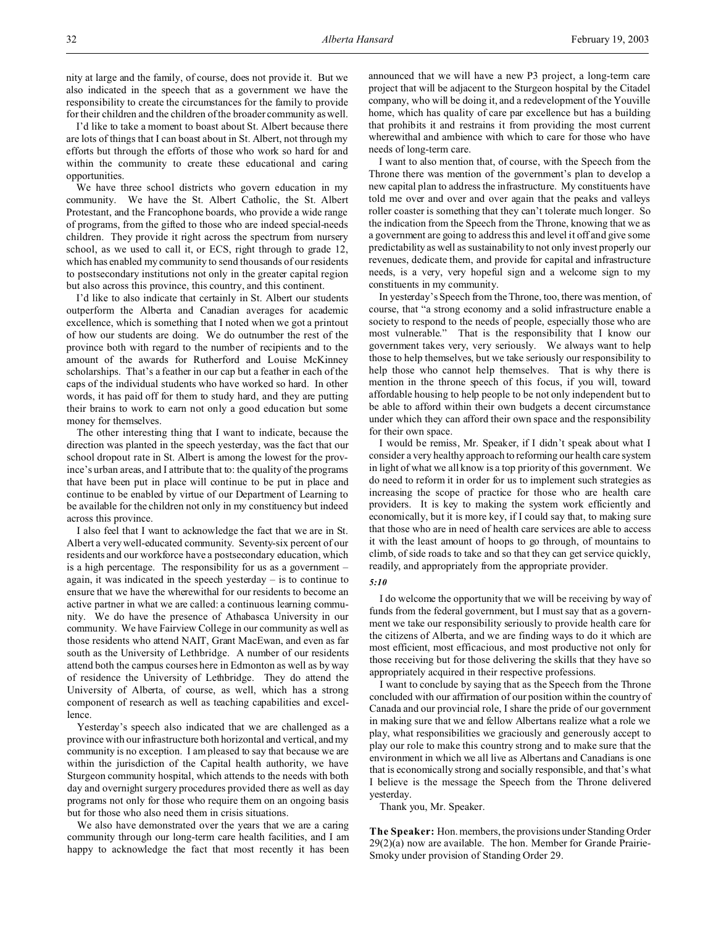I'd like to take a moment to boast about St. Albert because there are lots of things that I can boast about in St. Albert, not through my efforts but through the efforts of those who work so hard for and within the community to create these educational and caring opportunities.

We have three school districts who govern education in my community. We have the St. Albert Catholic, the St. Albert Protestant, and the Francophone boards, who provide a wide range of programs, from the gifted to those who are indeed special-needs children. They provide it right across the spectrum from nursery school, as we used to call it, or ECS, right through to grade 12, which has enabled my community to send thousands of our residents to postsecondary institutions not only in the greater capital region but also across this province, this country, and this continent.

I'd like to also indicate that certainly in St. Albert our students outperform the Alberta and Canadian averages for academic excellence, which is something that I noted when we got a printout of how our students are doing. We do outnumber the rest of the province both with regard to the number of recipients and to the amount of the awards for Rutherford and Louise McKinney scholarships. That's a feather in our cap but a feather in each of the caps of the individual students who have worked so hard. In other words, it has paid off for them to study hard, and they are putting their brains to work to earn not only a good education but some money for themselves.

The other interesting thing that I want to indicate, because the direction was planted in the speech yesterday, was the fact that our school dropout rate in St. Albert is among the lowest for the province's urban areas, and I attribute that to: the quality of the programs that have been put in place will continue to be put in place and continue to be enabled by virtue of our Department of Learning to be available for the children not only in my constituency but indeed across this province.

I also feel that I want to acknowledge the fact that we are in St. Albert a very well-educated community. Seventy-six percent of our residents and our workforce have a postsecondary education, which is a high percentage. The responsibility for us as a government – again, it was indicated in the speech yesterday – is to continue to ensure that we have the wherewithal for our residents to become an active partner in what we are called: a continuous learning community. We do have the presence of Athabasca University in our community. We have Fairview College in our community as well as those residents who attend NAIT, Grant MacEwan, and even as far south as the University of Lethbridge. A number of our residents attend both the campus courses here in Edmonton as well as by way of residence the University of Lethbridge. They do attend the University of Alberta, of course, as well, which has a strong component of research as well as teaching capabilities and excellence.

Yesterday's speech also indicated that we are challenged as a province with our infrastructure both horizontal and vertical, and my community is no exception. I am pleased to say that because we are within the jurisdiction of the Capital health authority, we have Sturgeon community hospital, which attends to the needs with both day and overnight surgery procedures provided there as well as day programs not only for those who require them on an ongoing basis but for those who also need them in crisis situations.

We also have demonstrated over the years that we are a caring community through our long-term care health facilities, and I am happy to acknowledge the fact that most recently it has been announced that we will have a new P3 project, a long-term care project that will be adjacent to the Sturgeon hospital by the Citadel company, who will be doing it, and a redevelopment of the Youville home, which has quality of care par excellence but has a building that prohibits it and restrains it from providing the most current wherewithal and ambience with which to care for those who have needs of long-term care.

I want to also mention that, of course, with the Speech from the Throne there was mention of the government's plan to develop a new capital plan to address the infrastructure. My constituents have told me over and over and over again that the peaks and valleys roller coaster is something that they can't tolerate much longer. So the indication from the Speech from the Throne, knowing that we as a government are going to address this and level it off and give some predictability as well as sustainability to not only invest properly our revenues, dedicate them, and provide for capital and infrastructure needs, is a very, very hopeful sign and a welcome sign to my constituents in my community.

In yesterday's Speech from the Throne, too, there was mention, of course, that "a strong economy and a solid infrastructure enable a society to respond to the needs of people, especially those who are most vulnerable." That is the responsibility that I know our government takes very, very seriously. We always want to help those to help themselves, but we take seriously our responsibility to help those who cannot help themselves. That is why there is mention in the throne speech of this focus, if you will, toward affordable housing to help people to be not only independent but to be able to afford within their own budgets a decent circumstance under which they can afford their own space and the responsibility for their own space.

I would be remiss, Mr. Speaker, if I didn't speak about what I consider a very healthy approach to reforming our health care system in light of what we all know is a top priority of this government. We do need to reform it in order for us to implement such strategies as increasing the scope of practice for those who are health care providers. It is key to making the system work efficiently and economically, but it is more key, if I could say that, to making sure that those who are in need of health care services are able to access it with the least amount of hoops to go through, of mountains to climb, of side roads to take and so that they can get service quickly, readily, and appropriately from the appropriate provider.

#### *5:10*

I do welcome the opportunity that we will be receiving by way of funds from the federal government, but I must say that as a government we take our responsibility seriously to provide health care for the citizens of Alberta, and we are finding ways to do it which are most efficient, most efficacious, and most productive not only for those receiving but for those delivering the skills that they have so appropriately acquired in their respective professions.

I want to conclude by saying that as the Speech from the Throne concluded with our affirmation of our position within the country of Canada and our provincial role, I share the pride of our government in making sure that we and fellow Albertans realize what a role we play, what responsibilities we graciously and generously accept to play our role to make this country strong and to make sure that the environment in which we all live as Albertans and Canadians is one that is economically strong and socially responsible, and that's what I believe is the message the Speech from the Throne delivered yesterday.

Thank you, Mr. Speaker.

**The Speaker:** Hon. members, the provisions under Standing Order 29(2)(a) now are available. The hon. Member for Grande Prairie-Smoky under provision of Standing Order 29.